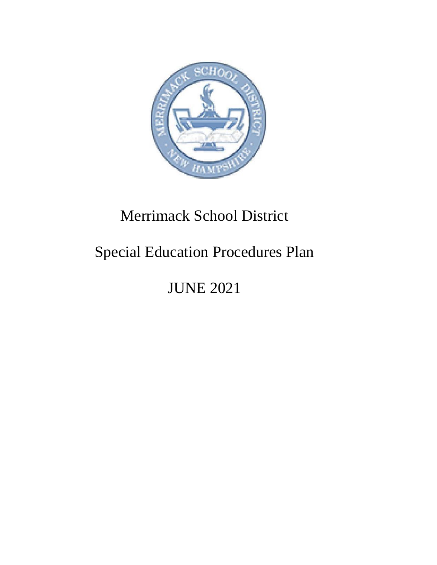

# Merrimack School District

# Special Education Procedures Plan

# JUNE 2021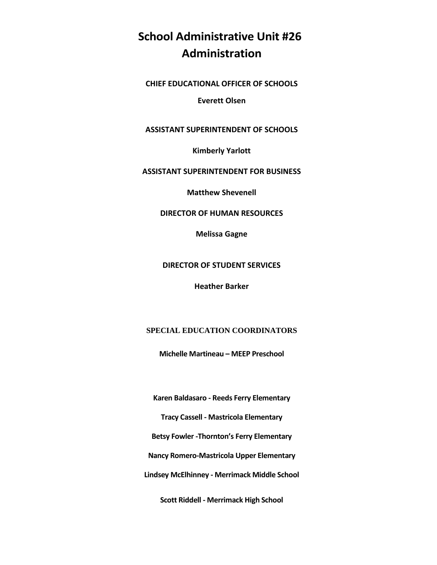## **School Administrative Unit #26 Administration**

**CHIEF EDUCATIONAL OFFICER OF SCHOOLS**

**Everett Olsen**

**ASSISTANT SUPERINTENDENT OF SCHOOLS** 

**Kimberly Yarlott**

**ASSISTANT SUPERINTENDENT FOR BUSINESS** 

**Matthew Shevenell** 

**DIRECTOR OF HUMAN RESOURCES** 

**Melissa Gagne**

#### **DIRECTOR OF STUDENT SERVICES**

**Heather Barker**

#### **SPECIAL EDUCATION COORDINATORS**

**Michelle Martineau – MEEP Preschool** 

**Karen Baldasaro - Reeds Ferry Elementary Tracy Cassell - Mastricola Elementary Betsy Fowler -Thornton's Ferry Elementary Nancy Romero-Mastricola Upper Elementary Lindsey McElhinney - Merrimack Middle School Scott Riddell - Merrimack High School**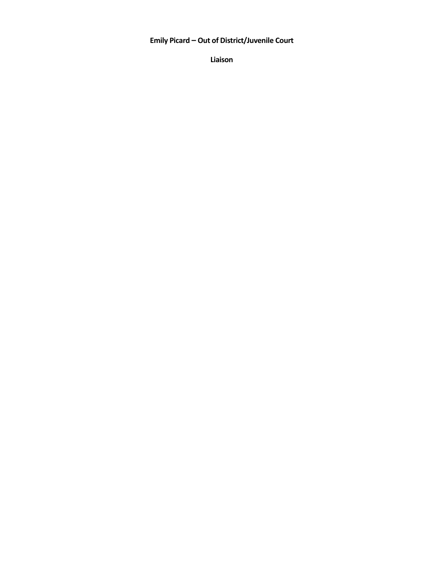**Emily Picard – Out of District/Juvenile Court** 

**Liaison**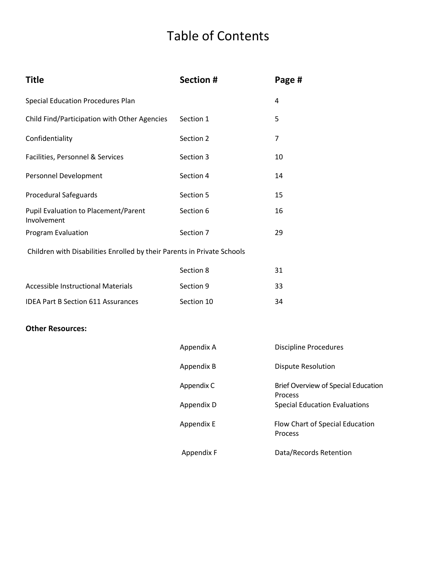# Table of Contents

| <b>Title</b>                                                            | <b>Section #</b> | Page #                       |  |  |
|-------------------------------------------------------------------------|------------------|------------------------------|--|--|
| <b>Special Education Procedures Plan</b>                                |                  | 4                            |  |  |
| Child Find/Participation with Other Agencies                            | Section 1        | 5                            |  |  |
| Confidentiality                                                         | Section 2        | $\overline{7}$               |  |  |
| Facilities, Personnel & Services                                        | Section 3        | 10                           |  |  |
| Personnel Development                                                   | Section 4        | 14                           |  |  |
| Procedural Safeguards                                                   | Section 5        | 15                           |  |  |
| <b>Pupil Evaluation to Placement/Parent</b><br>Involvement              | Section 6        | 16                           |  |  |
| Program Evaluation                                                      | Section 7        | 29                           |  |  |
| Children with Disabilities Enrolled by their Parents in Private Schools |                  |                              |  |  |
|                                                                         | Section 8        | 31                           |  |  |
| <b>Accessible Instructional Materials</b>                               | Section 9        | 33                           |  |  |
| <b>IDEA Part B Section 611 Assurances</b>                               | Section 10       | 34                           |  |  |
| <b>Other Resources:</b>                                                 |                  |                              |  |  |
|                                                                         | Appendix A       | <b>Discipline Procedures</b> |  |  |
|                                                                         | Annondiy D       | Dicouto Bocolution           |  |  |

| Appendix B | Dispute Resolution                                    |
|------------|-------------------------------------------------------|
| Appendix C | <b>Brief Overview of Special Education</b><br>Process |
| Appendix D | <b>Special Education Evaluations</b>                  |
| Appendix E | Flow Chart of Special Education<br>Process            |
| Appendix F | Data/Records Retention                                |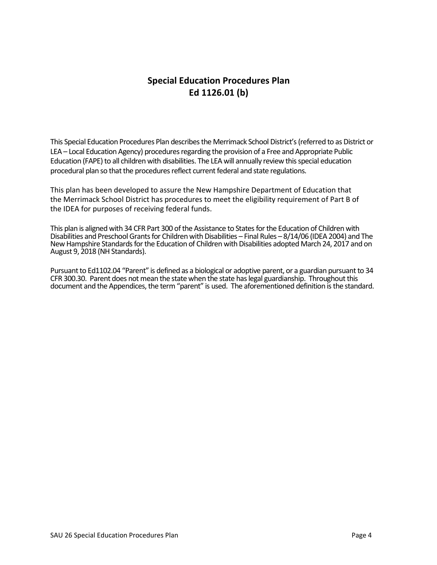## **Special Education Procedures Plan Ed 1126.01 (b)**

This Special Education Procedures Plan describes the Merrimack School District's (referred to as District or LEA – Local Education Agency) procedures regarding the provision of a Free and Appropriate Public Education (FAPE) to all children with disabilities. The LEA will annually review this special education procedural plan so that the procedures reflect current federal and state regulations.

This plan has been developed to assure the New Hampshire Department of Education that the Merrimack School District has procedures to meet the eligibility requirement of Part B of the IDEA for purposes of receiving federal funds.

This plan is aligned with 34 CFR Part 300 of the Assistance to States for the Education of Children with Disabilities and Preschool Grants for Children with Disabilities – Final Rules – 8/14/06 (IDEA 2004) and The New Hampshire Standards for the Education of Children with Disabilities adopted March 24, 2017 and on August 9, 2018 (NH Standards).

Pursuant to Ed1102.04 "Parent" is defined as a biological or adoptive parent, or a guardian pursuant to 34 CFR 300.30. Parent does not mean the state when the state has legal guardianship. Throughout this document and the Appendices, the term "parent" is used. The aforementioned definition is the standard.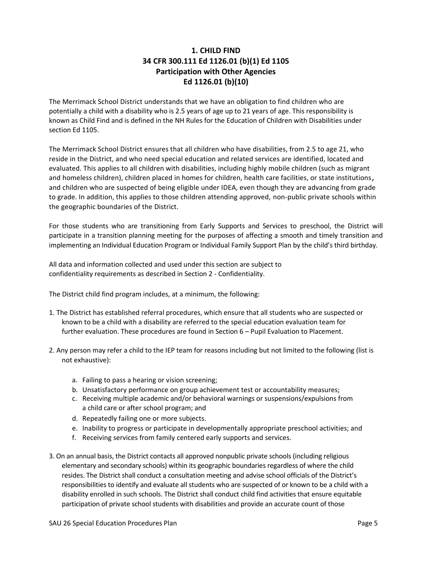## **1. CHILD FIND 34 CFR 300.111 Ed 1126.01 (b)(1) Ed 1105 Participation with Other Agencies Ed 1126.01 (b)(10)**

The Merrimack School District understands that we have an obligation to find children who are potentially a child with a disability who is 2.5 years of age up to 21 years of age. This responsibility is known as Child Find and is defined in the NH Rules for the Education of Children with Disabilities under section Ed 1105.

The Merrimack School District ensures that all children who have disabilities, from 2.5 to age 21, who reside in the District, and who need special education and related services are identified, located and evaluated. This applies to all children with disabilities, including highly mobile children (such as migrant and homeless children), children placed in homes for children, health care facilities, or state institutions, and children who are suspected of being eligible under IDEA, even though they are advancing from grade to grade. In addition, this applies to those children attending approved, non-public private schools within the geographic boundaries of the District.

For those students who are transitioning from Early Supports and Services to preschool, the District will participate in a transition planning meeting for the purposes of affecting a smooth and timely transition and implementing an Individual Education Program or Individual Family Support Plan by the child's third birthday.

All data and information collected and used under this section are subject to confidentiality requirements as described in Section 2 - Confidentiality.

The District child find program includes, at a minimum, the following:

- 1. The District has established referral procedures, which ensure that all students who are suspected or known to be a child with a disability are referred to the special education evaluation team for further evaluation. These procedures are found in Section 6 – Pupil Evaluation to Placement.
- 2. Any person may refer a child to the IEP team for reasons including but not limited to the following (list is not exhaustive):
	- a. Failing to pass a hearing or vision screening;
	- b. Unsatisfactory performance on group achievement test or accountability measures;
	- c. Receiving multiple academic and/or behavioral warnings or suspensions/expulsions from a child care or after school program; and
	- d. Repeatedly failing one or more subjects.
	- e. Inability to progress or participate in developmentally appropriate preschool activities; and
	- f. Receiving services from family centered early supports and services.
- 3. On an annual basis, the District contacts all approved nonpublic private schools (including religious elementary and secondary schools) within its geographic boundaries regardless of where the child resides. The District shall conduct a consultation meeting and advise school officials of the District's responsibilities to identify and evaluate all students who are suspected of or known to be a child with a disability enrolled in such schools. The District shall conduct child find activities that ensure equitable participation of private school students with disabilities and provide an accurate count of those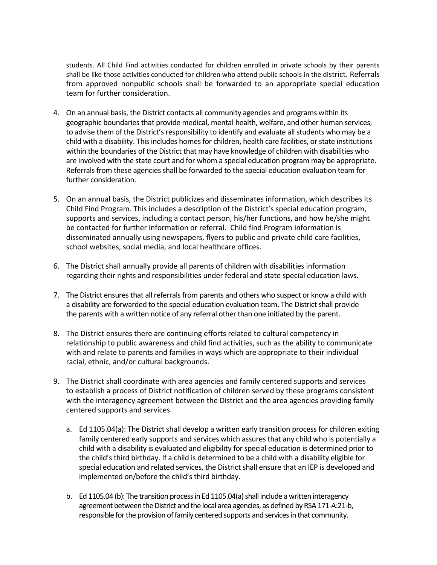students. All Child Find activities conducted for children enrolled in private schools by their parents shall be like those activities conducted for children who attend public schools in the district. Referrals from approved nonpublic schools shall be forwarded to an appropriate special education team for further consideration.

- 4. On an annual basis, the District contacts all community agencies and programs within its geographic boundaries that provide medical, mental health, welfare, and other human services, to advise them of the District's responsibility to identify and evaluate all students who may be a child with a disability. This includes homes for children, health care facilities, or state institutions within the boundaries of the District that may have knowledge of children with disabilities who are involved with the state court and for whom a special education program may be appropriate. Referrals from these agencies shall be forwarded to the special education evaluation team for further consideration.
- 5. On an annual basis, the District publicizes and disseminates information, which describes its Child Find Program. This includes a description of the District's special education program, supports and services, including a contact person, his/her functions, and how he/she might be contacted for further information or referral. Child find Program information is disseminated annually using newspapers, flyers to public and private child care facilities, school websites, social media, and local healthcare offices.
- 6. The District shall annually provide all parents of children with disabilities information regarding their rights and responsibilities under federal and state special education laws.
- 7. The District ensures that all referrals from parents and others who suspect or know a child with a disability are forwarded to the special education evaluation team. The District shall provide the parents with a written notice of any referral other than one initiated by the parent.
- 8. The District ensures there are continuing efforts related to cultural competency in relationship to public awareness and child find activities, such as the ability to communicate with and relate to parents and families in ways which are appropriate to their individual racial, ethnic, and/or cultural backgrounds.
- 9. The District shall coordinate with area agencies and family centered supports and services to establish a process of District notification of children served by these programs consistent with the interagency agreement between the District and the area agencies providing family centered supports and services.
	- a. Ed 1105.04(a): The District shall develop a written early transition process for children exiting family centered early supports and services which assures that any child who is potentially a child with a disability is evaluated and eligibility for special education is determined prior to the child's third birthday. If a child is determined to be a child with a disability eligible for special education and related services, the District shall ensure that an IEP is developed and implemented on/before the child's third birthday.
	- b. Ed 1105.04 (b): The transition process in Ed 1105.04(a) shall include a written interagency agreement between the District and the local area agencies, as defined by RSA 171-A:21-b, responsible for the provision of family centered supports and services in that community.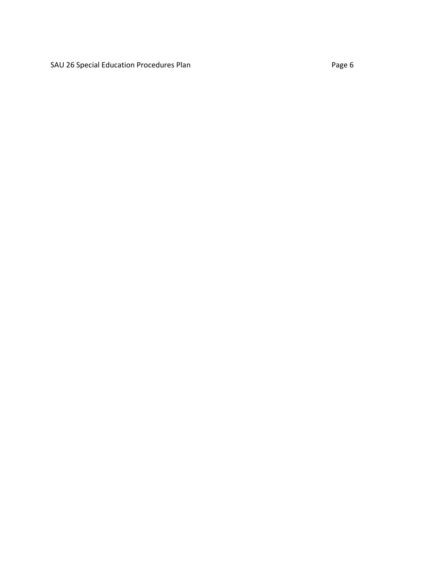SAU 26 Special Education Procedures Plan Page 6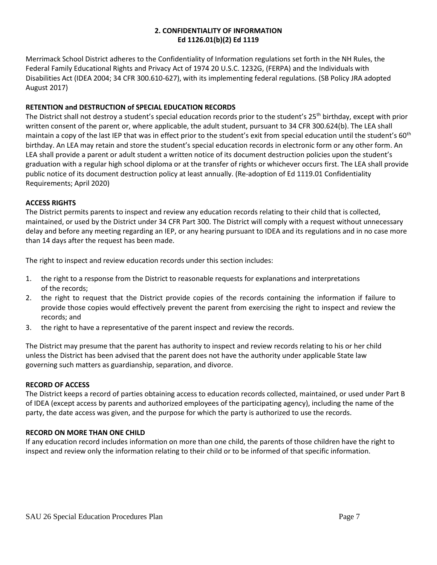#### **2. CONFIDENTIALITY OF INFORMATION Ed 1126.01(b)(2) Ed 1119**

Merrimack School District adheres to the Confidentiality of Information regulations set forth in the NH Rules, the Federal Family Educational Rights and Privacy Act of 1974 20 U.S.C. 1232G, (FERPA) and the Individuals with Disabilities Act (IDEA 2004; 34 CFR 300.610-627), with its implementing federal regulations. (SB Policy JRA adopted August 2017)

#### **RETENTION and DESTRUCTION of SPECIAL EDUCATION RECORDS**

The District shall not destroy a student's special education records prior to the student's  $25<sup>th</sup>$  birthday, except with prior written consent of the parent or, where applicable, the adult student, pursuant to 34 CFR 300.624(b). The LEA shall maintain a copy of the last IEP that was in effect prior to the student's exit from special education until the student's 60<sup>th</sup> birthday. An LEA may retain and store the student's special education records in electronic form or any other form. An LEA shall provide a parent or adult student a written notice of its document destruction policies upon the student's graduation with a regular high school diploma or at the transfer of rights or whichever occurs first. The LEA shall provide public notice of its document destruction policy at least annually. (Re-adoption of Ed 1119.01 Confidentiality Requirements; April 2020)

#### **ACCESS RIGHTS**

The District permits parents to inspect and review any education records relating to their child that is collected, maintained, or used by the District under 34 CFR Part 300. The District will comply with a request without unnecessary delay and before any meeting regarding an IEP, or any hearing pursuant to IDEA and its regulations and in no case more than 14 days after the request has been made.

The right to inspect and review education records under this section includes:

- 1. the right to a response from the District to reasonable requests for explanations and interpretations of the records;
- 2. the right to request that the District provide copies of the records containing the information if failure to provide those copies would effectively prevent the parent from exercising the right to inspect and review the records; and
- 3. the right to have a representative of the parent inspect and review the records.

The District may presume that the parent has authority to inspect and review records relating to his or her child unless the District has been advised that the parent does not have the authority under applicable State law governing such matters as guardianship, separation, and divorce.

#### **RECORD OF ACCESS**

The District keeps a record of parties obtaining access to education records collected, maintained, or used under Part B of IDEA (except access by parents and authorized employees of the participating agency), including the name of the party, the date access was given, and the purpose for which the party is authorized to use the records.

#### **RECORD ON MORE THAN ONE CHILD**

If any education record includes information on more than one child, the parents of those children have the right to inspect and review only the information relating to their child or to be informed of that specific information.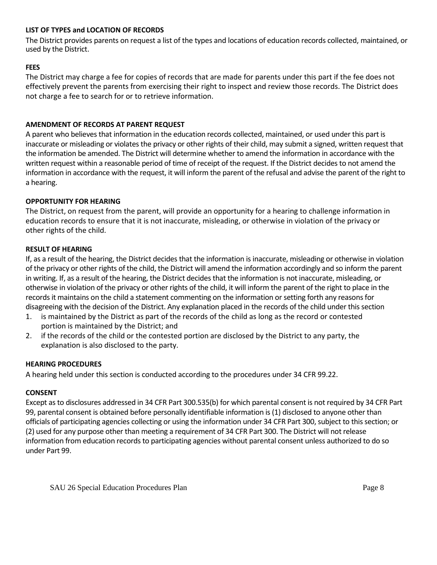#### **LIST OF TYPES and LOCATION OF RECORDS**

The District provides parents on request a list of the types and locations of education records collected, maintained, or used by the District.

#### **FEES**

The District may charge a fee for copies of records that are made for parents under this part if the fee does not effectively prevent the parents from exercising their right to inspect and review those records. The District does not charge a fee to search for or to retrieve information.

#### **AMENDMENT OF RECORDS AT PARENT REQUEST**

A parent who believes that information in the education records collected, maintained, or used under this part is inaccurate or misleading or violates the privacy or other rights of their child, may submit a signed, written request that the information be amended. The District will determine whether to amend the information in accordance with the written request within a reasonable period of time of receipt of the request. If the District decides to not amend the information in accordance with the request, it will inform the parent of the refusal and advise the parent of the right to a hearing.

#### **OPPORTUNITY FOR HEARING**

The District, on request from the parent, will provide an opportunity for a hearing to challenge information in education records to ensure that it is not inaccurate, misleading, or otherwise in violation of the privacy or other rights of the child.

#### **RESULT OF HEARING**

If, as a result of the hearing, the District decides that the information is inaccurate, misleading or otherwise in violation of the privacy or other rights of the child, the District will amend the information accordingly and so inform the parent in writing. If, as a result of the hearing, the District decides that the information is not inaccurate, misleading, or otherwise in violation of the privacy or other rights of the child, it will inform the parent of the right to place in the records it maintains on the child a statement commenting on the information or setting forth any reasons for disagreeing with the decision of the District. Any explanation placed in the records of the child under this section

- 1. is maintained by the District as part of the records of the child as long as the record or contested portion is maintained by the District; and
- 2. if the records of the child or the contested portion are disclosed by the District to any party, the explanation is also disclosed to the party.

#### **HEARING PROCEDURES**

A hearing held under this section is conducted according to the procedures under 34 CFR 99.22.

#### **CONSENT**

Except as to disclosures addressed in 34 CFR Part 300.535(b) for which parental consent is not required by 34 CFR Part 99, parental consent is obtained before personally identifiable information is (1) disclosed to anyone other than officials of participating agencies collecting or using the information under 34 CFR Part 300, subject to this section; or (2) used for any purpose other than meeting a requirement of 34 CFR Part 300. The District will not release information from education records to participating agencies without parental consent unless authorized to do so under Part 99.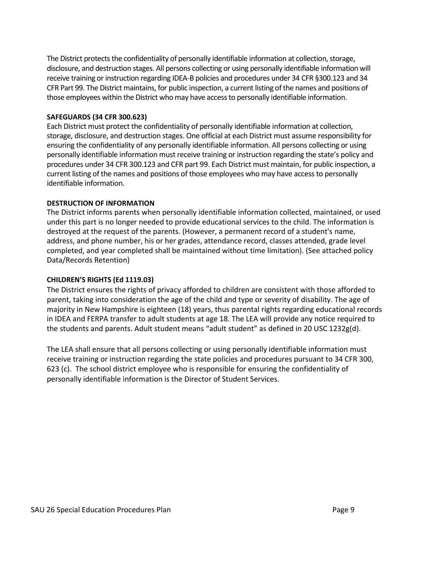The District protects the confidentiality of personally identifiable information at collection, storage, disclosure, and destruction stages. All persons collecting or using personally identifiable information will receive training or instruction regarding IDEA-B policies and procedures under 34 CFR §300.123 and 34 CFR Part 99. The District maintains, for public inspection, a current listing of the names and positions of those employees within the District who may have access to personally identifiable information.

#### **SAFEGUARDS (34 CFR 300.623)**

Each District must protect the confidentiality of personally identifiable information at collection, storage, disclosure, and destruction stages. One official at each District must assume responsibility for ensuring the confidentiality of any personally identifiable information. All persons collecting or using personally identifiable information must receive training or instruction regarding the state's policy and procedures under 34 CFR 300.123 and CFR part 99. Each District must maintain, for public inspection, a current listing of the names and positions of those employees who may have access to personally identifiable information.

#### **DESTRUCTION OF INFORMATION**

The District informs parents when personally identifiable information collected, maintained, or used under this part is no longer needed to provide educational services to the child. The information is destroyed at the request of the parents. (However, a permanent record of a student's name, address, and phone number, his or her grades, attendance record, classes attended, grade level completed, and year completed shall be maintained without time limitation). (See attached policy Data/Records Retention)

#### **CHILDREN'S RIGHTS (Ed 1119.03)**

The District ensures the rights of privacy afforded to children are consistent with those afforded to parent, taking into consideration the age of the child and type or severity of disability. The age of majority in New Hampshire is eighteen (18) years, thus parental rights regarding educational records in IDEA and FERPA transfer to adult students at age 18. The LEA will provide any notice required to the students and parents. Adult student means "adult student" as defined in 20 USC 1232g(d).

The LEA shall ensure that all persons collecting or using personally identifiable information must receive training or instruction regarding the state policies and procedures pursuant to 34 CFR 300, 623 (c). The school district employee who is responsible for ensuring the confidentiality of personally identifiable information is the Director of Student Services.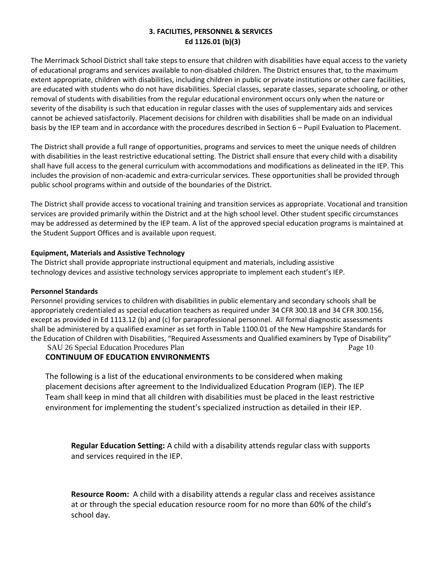#### **3. FACILITIES, PERSONNEL & SERVICES Ed 1126.01 (b)(3)**

The Merrimack School District shall take steps to ensure that children with disabilities have equal access to the variety of educational programs and services available to non-disabled children. The District ensures that, to the maximum extent appropriate, children with disabilities, including children in public or private institutions or other care facilities, are educated with students who do not have disabilities. Special classes, separate classes, separate schooling, or other removal of students with disabilities from the regular educational environment occurs only when the nature or severity of the disability is such that education in regular classes with the uses of supplementary aids and services cannot be achieved satisfactorily. Placement decisions for children with disabilities shall be made on an individual basis by the IEP team and in accordance with the procedures described in Section 6 – Pupil Evaluation to Placement.

The District shall provide a full range of opportunities, programs and services to meet the unique needs of children with disabilities in the least restrictive educational setting. The District shall ensure that every child with a disability shall have full access to the general curriculum with accommodations and modifications as delineated in the IEP. This includes the provision of non-academic and extra-curricular services. These opportunities shall be provided through public school programs within and outside of the boundaries of the District.

The District shall provide access to vocational training and transition services as appropriate. Vocational and transition services are provided primarily within the District and at the high school level. Other student specific circumstances may be addressed as determined by the IEP team. A list of the approved special education programs is maintained at the Student Support Offices and is available upon request.

#### **Equipment, Materials and Assistive Technology**

The District shall provide appropriate instructional equipment and materials, including assistive technology devices and assistive technology services appropriate to implement each student's IEP.

#### **Personnel Standards**

Personnel providing services to children with disabilities in public elementary and secondary schools shall be appropriately credentialed as special education teachers as required under 34 CFR 300.18 and 34 CFR 300.156, except as provided in Ed 1113.12 (b) and (c) for paraprofessional personnel. All formal diagnostic assessments shall be administered by a qualified examiner as set forth in Table 1100.01 of the New Hampshire Standards for the Education of Children with Disabilities, "Required Assessments and Qualified examiners by Type of Disability" SAU 26 Special Education Procedures Plan Page 10

## **CONTINUUM OF EDUCATION ENVIRONMENTS**

The following is a list of the educational environments to be considered when making placement decisions after agreement to the Individualized Education Program (IEP). The IEP Team shall keep in mind that all children with disabilities must be placed in the least restrictive environment for implementing the student's specialized instruction as detailed in their IEP.

**Regular Education Setting:** A child with a disability attends regular class with supports and services required in the IEP.

**Resource Room:** A child with a disability attends a regular class and receives assistance at or through the special education resource room for no more than 60% of the child's school day.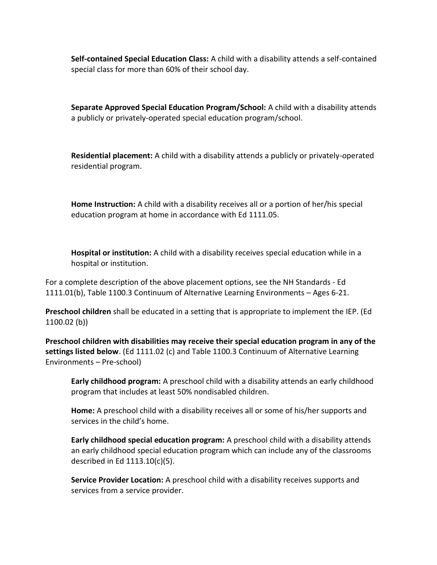**Self-contained Special Education Class:** A child with a disability attends a self-contained special class for more than 60% of their school day.

**Separate Approved Special Education Program/School:** A child with a disability attends a publicly or privately-operated special education program/school.

**Residential placement:** A child with a disability attends a publicly or privately-operated residential program.

**Home Instruction:** A child with a disability receives all or a portion of her/his special education program at home in accordance with Ed 1111.05.

**Hospital or institution:** A child with a disability receives special education while in a hospital or institution.

For a complete description of the above placement options, see the NH Standards - Ed 1111.01(b), Table 1100.3 Continuum of Alternative Learning Environments – Ages 6-21.

**Preschool children** shall be educated in a setting that is appropriate to implement the IEP. (Ed 1100.02 (b))

**Preschool children with disabilities may receive their special education program in any of the settings listed below**. (Ed 1111.02 (c) and Table 1100.3 Continuum of Alternative Learning Environments – Pre-school)

**Early childhood program:** A preschool child with a disability attends an early childhood program that includes at least 50% nondisabled children.

**Home:** A preschool child with a disability receives all or some of his/her supports and services in the child's home.

**Early childhood special education program:** A preschool child with a disability attends an early childhood special education program which can include any of the classrooms described in Ed 1113.10(c)(5).

**Service Provider Location:** A preschool child with a disability receives supports and services from a service provider.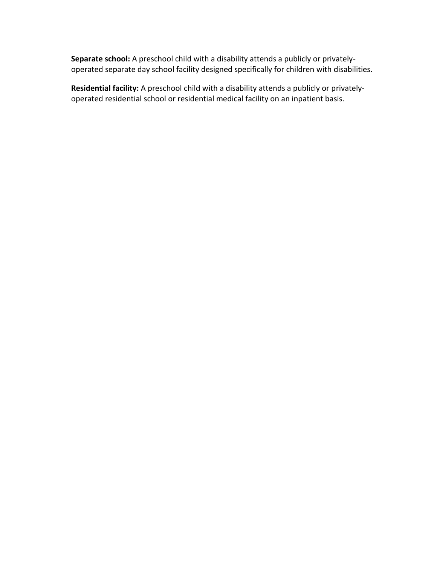**Separate school:** A preschool child with a disability attends a publicly or privatelyoperated separate day school facility designed specifically for children with disabilities.

**Residential facility:** A preschool child with a disability attends a publicly or privatelyoperated residential school or residential medical facility on an inpatient basis.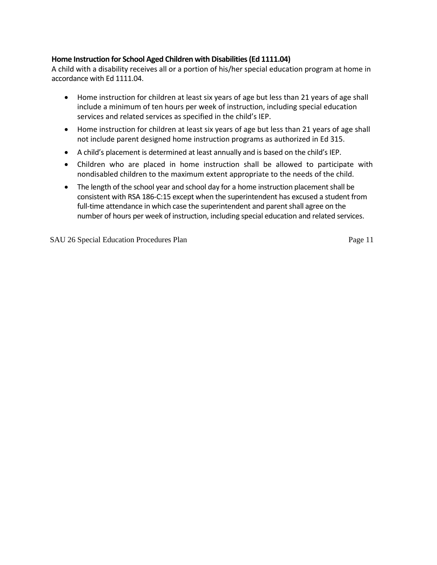#### **Home Instruction for School Aged Children with Disabilities (Ed 1111.04)**

A child with a disability receives all or a portion of his/her special education program at home in accordance with Ed 1111.04.

- Home instruction for children at least six years of age but less than 21 years of age shall include a minimum of ten hours per week of instruction, including special education services and related services as specified in the child's IEP.
- Home instruction for children at least six years of age but less than 21 years of age shall not include parent designed home instruction programs as authorized in Ed 315.
- A child's placement is determined at least annually and is based on the child's IEP.
- Children who are placed in home instruction shall be allowed to participate with nondisabled children to the maximum extent appropriate to the needs of the child.
- The length of the school year and school day for a home instruction placement shall be consistent with RSA 186-C:15 except when the superintendent has excused a student from full-time attendance in which case the superintendent and parent shall agree on the number of hours per week of instruction, including special education and related services.

SAU 26 Special Education Procedures Plan Page 11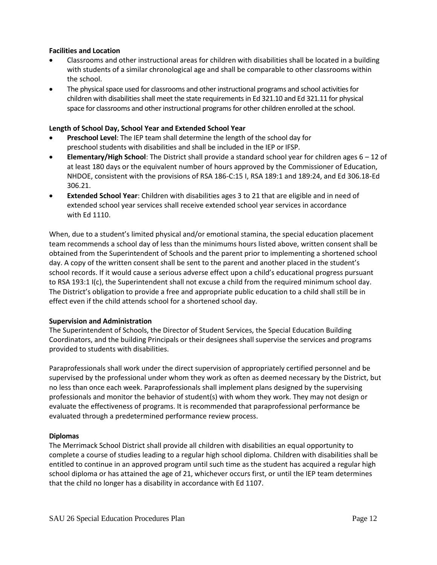#### **Facilities and Location**

- Classrooms and other instructional areas for children with disabilities shall be located in a building with students of a similar chronological age and shall be comparable to other classrooms within the school.
- The physical space used for classrooms and other instructional programs and school activities for children with disabilities shall meet the state requirements in Ed 321.10 and Ed 321.11 for physical space for classrooms and other instructional programs for other children enrolled at the school.

#### **Length of School Day, School Year and Extended School Year**

- **Preschool Level**: The IEP team shall determine the length of the school day for preschool students with disabilities and shall be included in the IEP or IFSP.
- **Elementary/High School**: The District shall provide a standard school year for children ages 6 12 of at least 180 days or the equivalent number of hours approved by the Commissioner of Education, NHDOE, consistent with the provisions of RSA 186-C:15 I, RSA 189:1 and 189:24, and Ed 306.18-Ed 306.21.
- **Extended School Year**: Children with disabilities ages 3 to 21 that are eligible and in need of extended school year services shall receive extended school year services in accordance with Ed 1110.

When, due to a student's limited physical and/or emotional stamina, the special education placement team recommends a school day of less than the minimums hours listed above, written consent shall be obtained from the Superintendent of Schools and the parent prior to implementing a shortened school day. A copy of the written consent shall be sent to the parent and another placed in the student's school records. If it would cause a serious adverse effect upon a child's educational progress pursuant to RSA 193:1 I(c), the Superintendent shall not excuse a child from the required minimum school day. The District's obligation to provide a free and appropriate public education to a child shall still be in effect even if the child attends school for a shortened school day.

#### **Supervision and Administration**

The Superintendent of Schools, the Director of Student Services, the Special Education Building Coordinators, and the building Principals or their designees shall supervise the services and programs provided to students with disabilities.

Paraprofessionals shall work under the direct supervision of appropriately certified personnel and be supervised by the professional under whom they work as often as deemed necessary by the District, but no less than once each week. Paraprofessionals shall implement plans designed by the supervising professionals and monitor the behavior of student(s) with whom they work. They may not design or evaluate the effectiveness of programs. It is recommended that paraprofessional performance be evaluated through a predetermined performance review process.

#### **Diplomas**

The Merrimack School District shall provide all children with disabilities an equal opportunity to complete a course of studies leading to a regular high school diploma. Children with disabilities shall be entitled to continue in an approved program until such time as the student has acquired a regular high school diploma or has attained the age of 21, whichever occurs first, or until the IEP team determines that the child no longer has a disability in accordance with Ed 1107.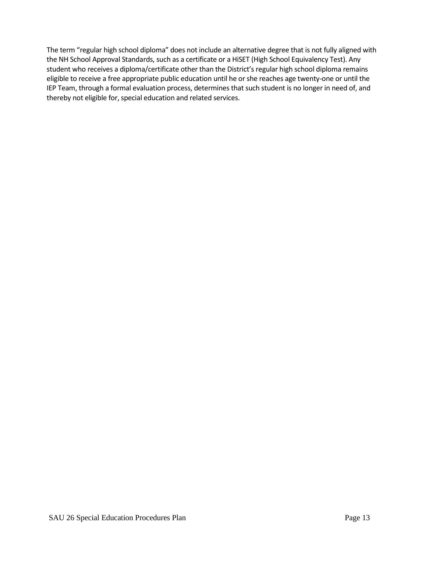The term "regular high school diploma" does not include an alternative degree that is not fully aligned with the NH School Approval Standards, such as a certificate or a HiSET (High School Equivalency Test). Any student who receives a diploma/certificate other than the District's regular high school diploma remains eligible to receive a free appropriate public education until he or she reaches age twenty-one or until the IEP Team, through a formal evaluation process, determines that such student is no longer in need of, and thereby not eligible for, special education and related services.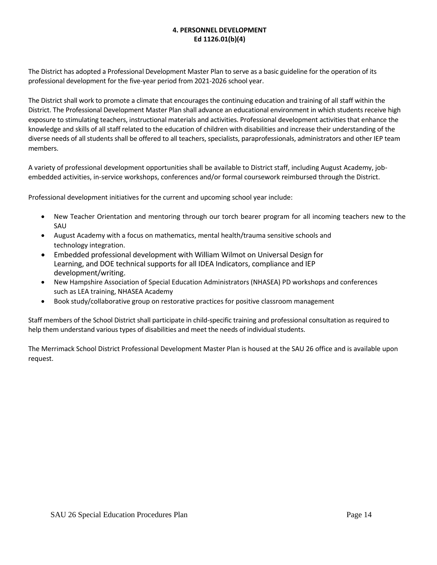#### **4. PERSONNEL DEVELOPMENT Ed 1126.01(b)(4)**

The District has adopted a Professional Development Master Plan to serve as a basic guideline for the operation of its professional development for the five-year period from 2021-2026 school year.

The District shall work to promote a climate that encourages the continuing education and training of all staff within the District. The Professional Development Master Plan shall advance an educational environment in which students receive high exposure to stimulating teachers, instructional materials and activities. Professional development activities that enhance the knowledge and skills of all staff related to the education of children with disabilities and increase their understanding of the diverse needs of all students shall be offered to all teachers, specialists, paraprofessionals, administrators and other IEP team members.

A variety of professional development opportunities shall be available to District staff, including August Academy, jobembedded activities, in-service workshops, conferences and/or formal coursework reimbursed through the District.

Professional development initiatives for the current and upcoming school year include:

- New Teacher Orientation and mentoring through our torch bearer program for all incoming teachers new to the SAU
- August Academy with a focus on mathematics, mental health/trauma sensitive schools and technology integration.
- Embedded professional development with William Wilmot on Universal Design for Learning, and DOE technical supports for all IDEA Indicators, compliance and IEP development/writing.
- New Hampshire Association of Special Education Administrators (NHASEA) PD workshops and conferences such as LEA training, NHASEA Academy
- Book study/collaborative group on restorative practices for positive classroom management

Staff members of the School District shall participate in child-specific training and professional consultation as required to help them understand various types of disabilities and meet the needs of individual students.

The Merrimack School District Professional Development Master Plan is housed at the SAU 26 office and is available upon request.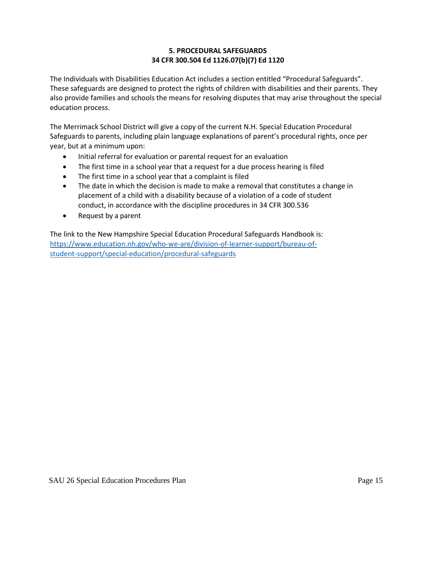#### **5. PROCEDURAL SAFEGUARDS 34 CFR 300.504 Ed 1126.07(b)(7) Ed 1120**

The Individuals with Disabilities Education Act includes a section entitled "Procedural Safeguards". These safeguards are designed to protect the rights of children with disabilities and their parents. They also provide families and schools the means for resolving disputes that may arise throughout the special education process.

The Merrimack School District will give a copy of the current N.H. Special Education Procedural Safeguards to parents, including plain language explanations of parent's procedural rights, once per year, but at a minimum upon:

- Initial referral for evaluation or parental request for an evaluation
- The first time in a school year that a request for a due process hearing is filed
- The first time in a school year that a complaint is filed
- The date in which the decision is made to make a removal that constitutes a change in placement of a child with a disability because of a violation of a code of student conduct, in accordance with the discipline procedures in 34 CFR 300.536
- Request by a parent

The link to the New Hampshire Special Education Procedural Safeguards Handbook is: [https://www.education.nh.gov/who-we-are/division-of-learner-support/bureau-of](https://www.education.nh.gov/who-we-are/division-of-learner-support/bureau-of-student-support/special-education/procedural-safeguards)[student-support/special-education/procedural-safeguards](https://www.education.nh.gov/who-we-are/division-of-learner-support/bureau-of-student-support/special-education/procedural-safeguards)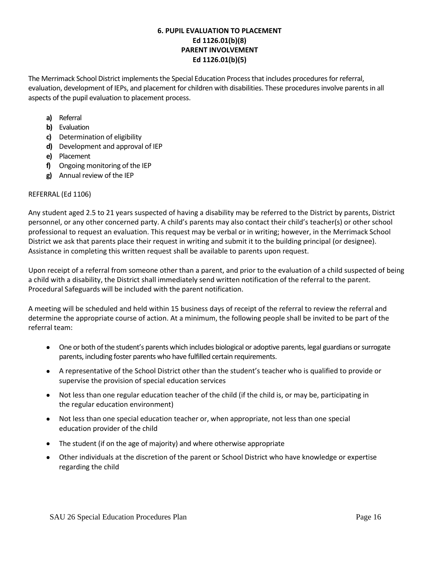#### **6. PUPIL EVALUATION TO PLACEMENT Ed 1126.01(b)(8) PARENT INVOLVEMENT Ed 1126.01(b)(5)**

The Merrimack School District implements the Special Education Process that includes procedures for referral, evaluation, development of IEPs, and placement for children with disabilities. These procedures involve parents in all aspects of the pupil evaluation to placement process.

- **a)** Referral
- **b)** Evaluation
- **c)** Determination of eligibility
- **d)** Development and approval of IEP
- **e)** Placement
- **f)** Ongoing monitoring of the IEP
- **g)** Annual review of the IEP

#### REFERRAL (Ed 1106)

Any student aged 2.5 to 21 years suspected of having a disability may be referred to the District by parents, District personnel, or any other concerned party. A child's parents may also contact their child's teacher(s) or other school professional to request an evaluation. This request may be verbal or in writing; however, in the Merrimack School District we ask that parents place their request in writing and submit it to the building principal (or designee). Assistance in completing this written request shall be available to parents upon request.

Upon receipt of a referral from someone other than a parent, and prior to the evaluation of a child suspected of being a child with a disability, the District shall immediately send written notification of the referral to the parent. Procedural Safeguards will be included with the parent notification.

A meeting will be scheduled and held within 15 business days of receipt of the referral to review the referral and determine the appropriate course of action. At a minimum, the following people shall be invited to be part of the referral team:

- One or both of the student's parents which includes biological or adoptive parents, legal guardians or surrogate parents, including foster parents who have fulfilled certain requirements.
- A representative of the School District other than the student's teacher who is qualified to provide or supervise the provision of special education services
- Not less than one regular education teacher of the child (if the child is, or may be, participating in the regular education environment)
- Not less than one special education teacher or, when appropriate, not less than one special education provider of the child
- The student (if on the age of majority) and where otherwise appropriate
- Other individuals at the discretion of the parent or School District who have knowledge or expertise regarding the child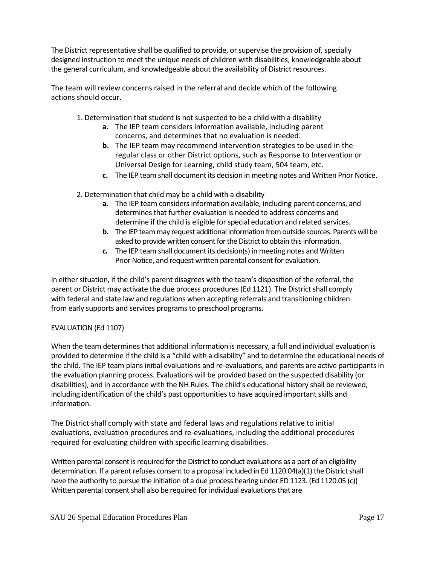The District representative shall be qualified to provide, or supervise the provision of, specially designed instruction to meet the unique needs of children with disabilities, knowledgeable about the general curriculum, and knowledgeable about the availability of District resources.

The team will review concerns raised in the referral and decide which of the following actions should occur.

- 1. Determination that student is not suspected to be a child with a disability
	- **a.** The IEP team considers information available, including parent concerns, and determines that no evaluation is needed.
	- **b.** The IEP team may recommend intervention strategies to be used in the regular class or other District options, such as Response to Intervention or Universal Design for Learning, child study team, 504 team, etc.
	- **c.** The IEP team shall document its decision in meeting notes and Written Prior Notice.
- 2. Determination that child may be a child with a disability
	- **a.** The IEP team considers information available, including parent concerns, and determines that further evaluation is needed to address concerns and determine if the child is eligible for special education and related services.
	- **b.** The IEP team may request additional information from outside sources. Parents will be asked to provide written consent for the District to obtain this information.
	- **c.** The IEP team shall document its decision(s) in meeting notes and Written Prior Notice, and request written parental consent for evaluation.

In either situation, if the child's parent disagrees with the team's disposition of the referral, the parent or District may activate the due process procedures (Ed 1121). The District shall comply with federal and state law and regulations when accepting referrals and transitioning children from early supports and services programs to preschool programs.

#### EVALUATION (Ed 1107)

When the team determines that additional information is necessary, a full and individual evaluation is provided to determine if the child is a "child with a disability" and to determine the educational needs of the child. The IEP team plans initial evaluations and re-evaluations, and parents are active participants in the evaluation planning process. Evaluations will be provided based on the suspected disability (or disabilities), and in accordance with the NH Rules. The child's educational history shall be reviewed, including identification of the child's past opportunities to have acquired important skills and information.

The District shall comply with state and federal laws and regulations relative to initial evaluations, evaluation procedures and re-evaluations, including the additional procedures required for evaluating children with specific learning disabilities.

Written parental consent is required for the District to conduct evaluations as a part of an eligibility determination. If a parent refuses consent to a proposal included in Ed 1120.04(a)(1) the District shall have the authority to pursue the initiation of a due process hearing under ED 1123. (Ed 1120.05 (c)) Written parental consent shall also be required for individual evaluations that are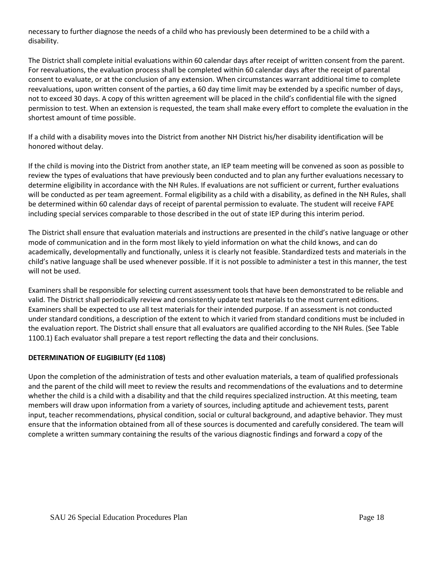necessary to further diagnose the needs of a child who has previously been determined to be a child with a disability.

The District shall complete initial evaluations within 60 calendar days after receipt of written consent from the parent. For reevaluations, the evaluation process shall be completed within 60 calendar days after the receipt of parental consent to evaluate, or at the conclusion of any extension. When circumstances warrant additional time to complete reevaluations, upon written consent of the parties, a 60 day time limit may be extended by a specific number of days, not to exceed 30 days. A copy of this written agreement will be placed in the child's confidential file with the signed permission to test. When an extension is requested, the team shall make every effort to complete the evaluation in the shortest amount of time possible.

If a child with a disability moves into the District from another NH District his/her disability identification will be honored without delay.

If the child is moving into the District from another state, an IEP team meeting will be convened as soon as possible to review the types of evaluations that have previously been conducted and to plan any further evaluations necessary to determine eligibility in accordance with the NH Rules. If evaluations are not sufficient or current, further evaluations will be conducted as per team agreement. Formal eligibility as a child with a disability, as defined in the NH Rules, shall be determined within 60 calendar days of receipt of parental permission to evaluate. The student will receive FAPE including special services comparable to those described in the out of state IEP during this interim period.

The District shall ensure that evaluation materials and instructions are presented in the child's native language or other mode of communication and in the form most likely to yield information on what the child knows, and can do academically, developmentally and functionally, unless it is clearly not feasible. Standardized tests and materials in the child's native language shall be used whenever possible. If it is not possible to administer a test in this manner, the test will not be used.

Examiners shall be responsible for selecting current assessment tools that have been demonstrated to be reliable and valid. The District shall periodically review and consistently update test materials to the most current editions. Examiners shall be expected to use all test materials for their intended purpose. If an assessment is not conducted under standard conditions, a description of the extent to which it varied from standard conditions must be included in the evaluation report. The District shall ensure that all evaluators are qualified according to the NH Rules. (See Table 1100.1) Each evaluator shall prepare a test report reflecting the data and their conclusions.

#### **DETERMINATION OF ELIGIBILITY (Ed 1108)**

Upon the completion of the administration of tests and other evaluation materials, a team of qualified professionals and the parent of the child will meet to review the results and recommendations of the evaluations and to determine whether the child is a child with a disability and that the child requires specialized instruction. At this meeting, team members will draw upon information from a variety of sources, including aptitude and achievement tests, parent input, teacher recommendations, physical condition, social or cultural background, and adaptive behavior. They must ensure that the information obtained from all of these sources is documented and carefully considered. The team will complete a written summary containing the results of the various diagnostic findings and forward a copy of the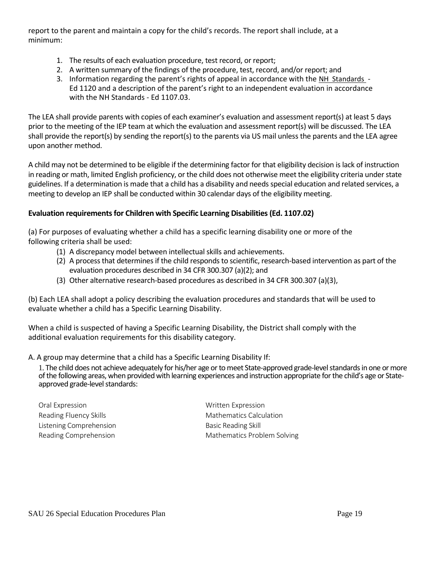report to the parent and maintain a copy for the child's records. The report shall include, at a minimum:

- 1. The results of each evaluation procedure, test record, or report;
- 2. A written summary of the findings of the procedure, test, record, and/or report; and
- 3. Information regarding the parent's rights of appeal in accordance with the NH Standards Ed 1120 and a description of the parent's right to an independent evaluation in accordance with the NH Standards - Ed 1107.03.

The LEA shall provide parents with copies of each examiner's evaluation and assessment report(s) at least 5 days prior to the meeting of the IEP team at which the evaluation and assessment report(s) will be discussed. The LEA shall provide the report(s) by sending the report(s) to the parents via US mail unless the parents and the LEA agree upon another method.

A child may not be determined to be eligible if the determining factor for that eligibility decision is lack of instruction in reading or math, limited English proficiency, or the child does not otherwise meet the eligibility criteria under state guidelines. If a determination is made that a child has a disability and needs special education and related services, a meeting to develop an IEP shall be conducted within 30 calendar days of the eligibility meeting.

## **Evaluation requirements for Children with Specific Learning Disabilities (Ed. 1107.02)**

(a) For purposes of evaluating whether a child has a specific learning disability one or more of the following criteria shall be used:

- (1) A discrepancy model between intellectual skills and achievements.
- (2) A process that determines if the child responds to scientific, research-based intervention as part of the evaluation procedures described in 34 CFR 300.307 (a)(2); and
- (3) Other alternative research-based procedures as described in 34 CFR 300.307 (a)(3),

(b) Each LEA shall adopt a policy describing the evaluation procedures and standards that will be used to evaluate whether a child has a Specific Learning Disability.

When a child is suspected of having a Specific Learning Disability, the District shall comply with the additional evaluation requirements for this disability category.

#### A. A group may determine that a child has a Specific Learning Disability If:

1. The child does not achieve adequately for his/her age or to meet State-approved grade-level standards in one or more of the following areas, when provided with learning experiences and instruction appropriate for the child's age or Stateapproved grade-level standards:

Oral Expression Written Expression Listening Comprehension and a state of the Basic Reading Skill

Reading Fluency Skills Mathematics Calculation Reading Comprehension **Mathematics Problem Solving** Comprehension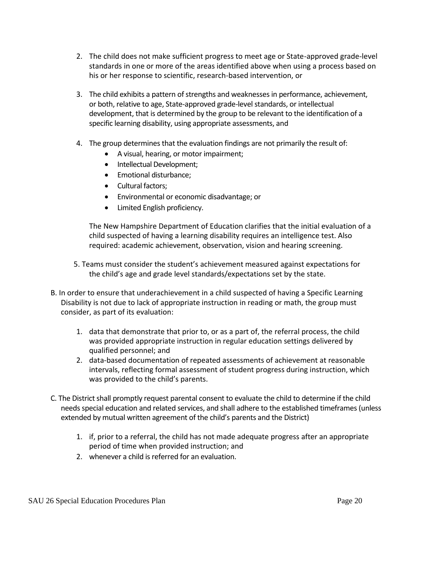- 2. The child does not make sufficient progress to meet age or State-approved grade-level standards in one or more of the areas identified above when using a process based on his or her response to scientific, research-based intervention, or
- 3. The child exhibits a pattern of strengths and weaknesses in performance, achievement, or both, relative to age, State-approved grade-level standards, or intellectual development, that is determined by the group to be relevant to the identification of a specific learning disability, using appropriate assessments, and
- 4. The group determines that the evaluation findings are not primarily the result of:
	- A visual, hearing, or motor impairment;
	- Intellectual Development;
	- Emotional disturbance;
	- Cultural factors;
	- Environmental or economic disadvantage; or
	- Limited English proficiency.

The New Hampshire Department of Education clarifies that the initial evaluation of a child suspected of having a learning disability requires an intelligence test. Also required: academic achievement, observation, vision and hearing screening.

- 5. Teams must consider the student's achievement measured against expectations for the child's age and grade level standards/expectations set by the state.
- B. In order to ensure that underachievement in a child suspected of having a Specific Learning Disability is not due to lack of appropriate instruction in reading or math, the group must consider, as part of its evaluation:
	- 1. data that demonstrate that prior to, or as a part of, the referral process, the child was provided appropriate instruction in regular education settings delivered by qualified personnel; and
	- 2. data-based documentation of repeated assessments of achievement at reasonable intervals, reflecting formal assessment of student progress during instruction, which was provided to the child's parents.
- C. The District shall promptly request parental consent to evaluate the child to determine if the child needs special education and related services, and shall adhere to the established timeframes (unless extended by mutual written agreement of the child's parents and the District)
	- 1. if, prior to a referral, the child has not made adequate progress after an appropriate period of time when provided instruction; and
	- 2. whenever a child is referred for an evaluation.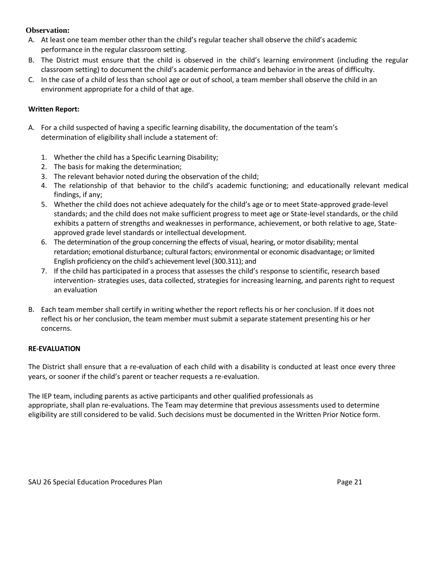#### **Observation:**

- A. At least one team member other than the child's regular teacher shall observe the child's academic performance in the regular classroom setting.
- B. The District must ensure that the child is observed in the child's learning environment (including the regular classroom setting) to document the child's academic performance and behavior in the areas of difficulty.
- C. In the case of a child of less than school age or out of school, a team member shall observe the child in an environment appropriate for a child of that age.

#### **Written Report:**

- A. For a child suspected of having a specific learning disability, the documentation of the team's determination of eligibility shall include a statement of:
	- 1. Whether the child has a Specific Learning Disability;
	- 2. The basis for making the determination;
	- 3. The relevant behavior noted during the observation of the child;
	- 4. The relationship of that behavior to the child's academic functioning; and educationally relevant medical findings, if any;
	- 5. Whether the child does not achieve adequately for the child's age or to meet State-approved grade-level standards; and the child does not make sufficient progress to meet age or State-level standards, or the child exhibits a pattern of strengths and weaknesses in performance, achievement, or both relative to age, Stateapproved grade level standards or intellectual development.
	- 6. The determination of the group concerning the effects of visual, hearing, or motor disability; mental retardation; emotional disturbance; cultural factors; environmental or economic disadvantage; or limited English proficiency on the child's achievement level (300.311); and
	- 7. If the child has participated in a process that assesses the child's response to scientific, research based intervention- strategies uses, data collected, strategies for increasing learning, and parents right to request an evaluation
- B. Each team member shall certify in writing whether the report reflects his or her conclusion. If it does not reflect his or her conclusion, the team member must submit a separate statement presenting his or her concerns.

#### **RE-EVALUATION**

The District shall ensure that a re-evaluation of each child with a disability is conducted at least once every three years, or sooner if the child's parent or teacher requests a re-evaluation.

The IEP team, including parents as active participants and other qualified professionals as appropriate, shall plan re-evaluations. The Team may determine that previous assessments used to determine eligibility are still considered to be valid. Such decisions must be documented in the Written Prior Notice form.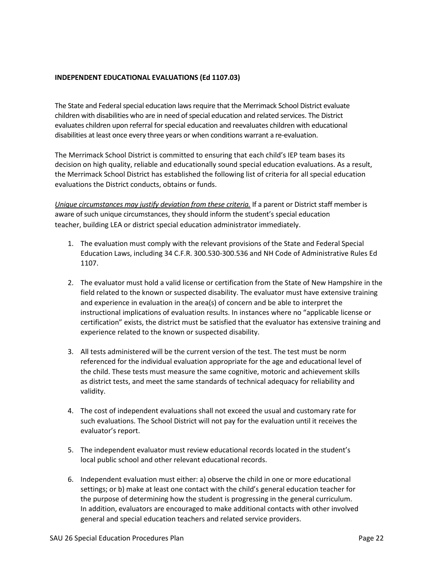#### **INDEPENDENT EDUCATIONAL EVALUATIONS (Ed 1107.03)**

The State and Federal special education laws require that the Merrimack School District evaluate children with disabilities who are in need of special education and related services. The District evaluates children upon referral for special education and reevaluates children with educational disabilities at least once every three years or when conditions warrant a re-evaluation.

The Merrimack School District is committed to ensuring that each child's IEP team bases its decision on high quality, reliable and educationally sound special education evaluations. As a result, the Merrimack School District has established the following list of criteria for all special education evaluations the District conducts, obtains or funds.

*Unique circumstances may justify deviation from these criteria.* If a parent or District staff member is aware of such unique circumstances, they should inform the student's special education teacher, building LEA or district special education administrator immediately.

- 1. The evaluation must comply with the relevant provisions of the State and Federal Special Education Laws, including 34 C.F.R. 300.530-300.536 and NH Code of Administrative Rules Ed 1107.
- 2. The evaluator must hold a valid license or certification from the State of New Hampshire in the field related to the known or suspected disability. The evaluator must have extensive training and experience in evaluation in the area(s) of concern and be able to interpret the instructional implications of evaluation results. In instances where no "applicable license or certification" exists, the district must be satisfied that the evaluator has extensive training and experience related to the known or suspected disability.
- 3. All tests administered will be the current version of the test. The test must be norm referenced for the individual evaluation appropriate for the age and educational level of the child. These tests must measure the same cognitive, motoric and achievement skills as district tests, and meet the same standards of technical adequacy for reliability and validity.
- 4. The cost of independent evaluations shall not exceed the usual and customary rate for such evaluations. The School District will not pay for the evaluation until it receives the evaluator's report.
- 5. The independent evaluator must review educational records located in the student's local public school and other relevant educational records.
- 6. Independent evaluation must either: a) observe the child in one or more educational settings; or b) make at least one contact with the child's general education teacher for the purpose of determining how the student is progressing in the general curriculum. In addition, evaluators are encouraged to make additional contacts with other involved general and special education teachers and related service providers.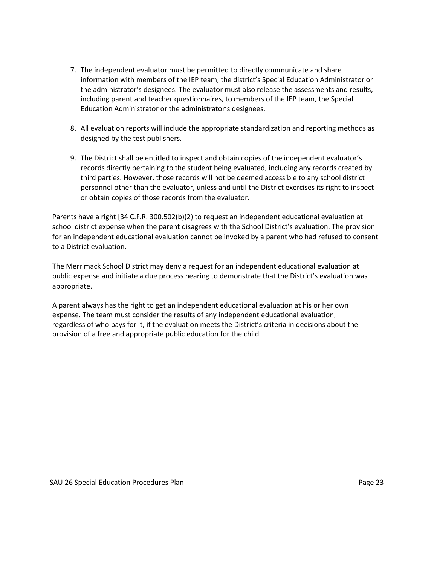- 7. The independent evaluator must be permitted to directly communicate and share information with members of the IEP team, the district's Special Education Administrator or the administrator's designees. The evaluator must also release the assessments and results, including parent and teacher questionnaires, to members of the IEP team, the Special Education Administrator or the administrator's designees.
- 8. All evaluation reports will include the appropriate standardization and reporting methods as designed by the test publishers.
- 9. The District shall be entitled to inspect and obtain copies of the independent evaluator's records directly pertaining to the student being evaluated, including any records created by third parties. However, those records will not be deemed accessible to any school district personnel other than the evaluator, unless and until the District exercises its right to inspect or obtain copies of those records from the evaluator.

Parents have a right [34 C.F.R. 300.502(b)(2) to request an independent educational evaluation at school district expense when the parent disagrees with the School District's evaluation. The provision for an independent educational evaluation cannot be invoked by a parent who had refused to consent to a District evaluation.

The Merrimack School District may deny a request for an independent educational evaluation at public expense and initiate a due process hearing to demonstrate that the District's evaluation was appropriate.

A parent always has the right to get an independent educational evaluation at his or her own expense. The team must consider the results of any independent educational evaluation, regardless of who pays for it, if the evaluation meets the District's criteria in decisions about the provision of a free and appropriate public education for the child.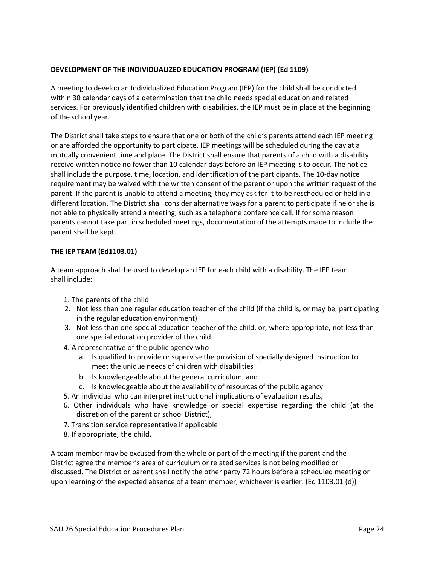#### **DEVELOPMENT OF THE INDIVIDUALIZED EDUCATION PROGRAM (IEP) (Ed 1109)**

A meeting to develop an Individualized Education Program (IEP) for the child shall be conducted within 30 calendar days of a determination that the child needs special education and related services. For previously identified children with disabilities, the IEP must be in place at the beginning of the school year.

The District shall take steps to ensure that one or both of the child's parents attend each IEP meeting or are afforded the opportunity to participate. IEP meetings will be scheduled during the day at a mutually convenient time and place. The District shall ensure that parents of a child with a disability receive written notice no fewer than 10 calendar days before an IEP meeting is to occur. The notice shall include the purpose, time, location, and identification of the participants. The 10-day notice requirement may be waived with the written consent of the parent or upon the written request of the parent. If the parent is unable to attend a meeting, they may ask for it to be rescheduled or held in a different location. The District shall consider alternative ways for a parent to participate if he or she is not able to physically attend a meeting, such as a telephone conference call. If for some reason parents cannot take part in scheduled meetings, documentation of the attempts made to include the parent shall be kept.

#### **THE IEP TEAM (Ed1103.01)**

A team approach shall be used to develop an IEP for each child with a disability. The IEP team shall include:

- 1. The parents of the child
- 2. Not less than one regular education teacher of the child (if the child is, or may be, participating in the regular education environment)
- 3. Not less than one special education teacher of the child, or, where appropriate, not less than one special education provider of the child
- 4. A representative of the public agency who
	- a. Is qualified to provide or supervise the provision of specially designed instruction to meet the unique needs of children with disabilities
	- b. Is knowledgeable about the general curriculum; and
	- c. Is knowledgeable about the availability of resources of the public agency
- 5. An individual who can interpret instructional implications of evaluation results,
- 6. Other individuals who have knowledge or special expertise regarding the child (at the discretion of the parent or school District),
- 7. Transition service representative if applicable
- 8. If appropriate, the child.

A team member may be excused from the whole or part of the meeting if the parent and the District agree the member's area of curriculum or related services is not being modified or discussed. The District or parent shall notify the other party 72 hours before a scheduled meeting or upon learning of the expected absence of a team member, whichever is earlier. (Ed 1103.01 (d))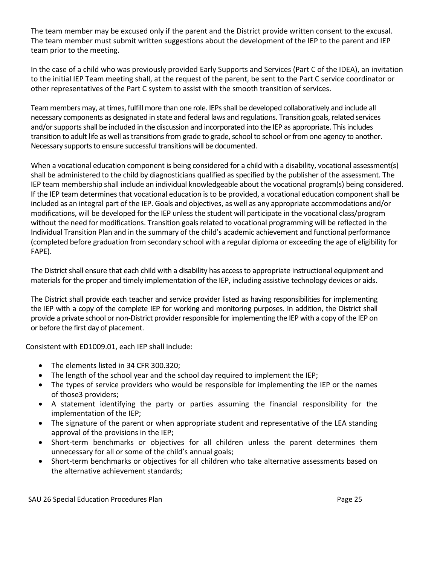The team member may be excused only if the parent and the District provide written consent to the excusal. The team member must submit written suggestions about the development of the IEP to the parent and IEP team prior to the meeting.

In the case of a child who was previously provided Early Supports and Services (Part C of the IDEA), an invitation to the initial IEP Team meeting shall, at the request of the parent, be sent to the Part C service coordinator or other representatives of the Part C system to assist with the smooth transition of services.

Team members may, at times, fulfill more than one role. IEPs shall be developed collaboratively and include all necessary components as designated in state and federal laws and regulations. Transition goals, related services and/or supports shall be included in the discussion and incorporated into the IEP as appropriate. This includes transition to adult life as well as transitions from grade to grade, school to school or from one agency to another. Necessary supports to ensure successful transitions will be documented.

When a vocational education component is being considered for a child with a disability, vocational assessment(s) shall be administered to the child by diagnosticians qualified as specified by the publisher of the assessment. The IEP team membership shall include an individual knowledgeable about the vocational program(s) being considered. If the IEP team determines that vocational education is to be provided, a vocational education component shall be included as an integral part of the IEP. Goals and objectives, as well as any appropriate accommodations and/or modifications, will be developed for the IEP unless the student will participate in the vocational class/program without the need for modifications. Transition goals related to vocational programming will be reflected in the Individual Transition Plan and in the summary of the child's academic achievement and functional performance (completed before graduation from secondary school with a regular diploma or exceeding the age of eligibility for FAPE).

The District shall ensure that each child with a disability has access to appropriate instructional equipment and materials for the proper and timely implementation of the IEP, including assistive technology devices or aids.

The District shall provide each teacher and service provider listed as having responsibilities for implementing the IEP with a copy of the complete IEP for working and monitoring purposes. In addition, the District shall provide a private school or non-District provider responsible for implementing the IEP with a copy of the IEP on or before the first day of placement.

Consistent with ED1009.01, each IEP shall include:

- The elements listed in 34 CFR 300.320;
- The length of the school year and the school day required to implement the IEP;
- The types of service providers who would be responsible for implementing the IEP or the names of those3 providers;
- A statement identifying the party or parties assuming the financial responsibility for the implementation of the IEP;
- The signature of the parent or when appropriate student and representative of the LEA standing approval of the provisions in the IEP;
- Short-term benchmarks or objectives for all children unless the parent determines them unnecessary for all or some of the child's annual goals;
- Short-term benchmarks or objectives for all children who take alternative assessments based on the alternative achievement standards;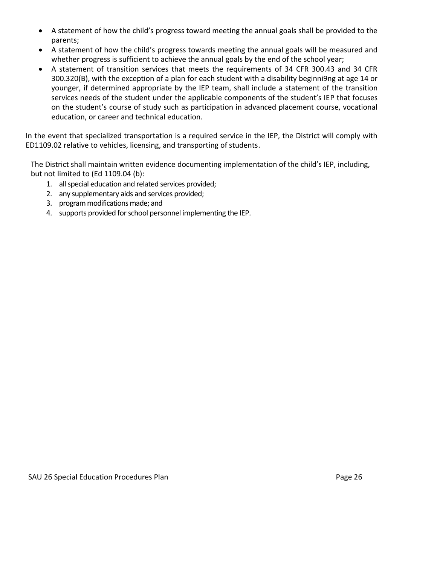- A statement of how the child's progress toward meeting the annual goals shall be provided to the parents;
- A statement of how the child's progress towards meeting the annual goals will be measured and whether progress is sufficient to achieve the annual goals by the end of the school year;
- A statement of transition services that meets the requirements of 34 CFR 300.43 and 34 CFR 300.320(B), with the exception of a plan for each student with a disability beginni9ng at age 14 or younger, if determined appropriate by the IEP team, shall include a statement of the transition services needs of the student under the applicable components of the student's IEP that focuses on the student's course of study such as participation in advanced placement course, vocational education, or career and technical education.

In the event that specialized transportation is a required service in the IEP, the District will comply with ED1109.02 relative to vehicles, licensing, and transporting of students.

The District shall maintain written evidence documenting implementation of the child's IEP, including, but not limited to (Ed 1109.04 (b):

- 1. all special education and related services provided;
- 2. any supplementary aids and services provided;
- 3. program modifications made; and
- 4. supports provided for school personnel implementing the IEP.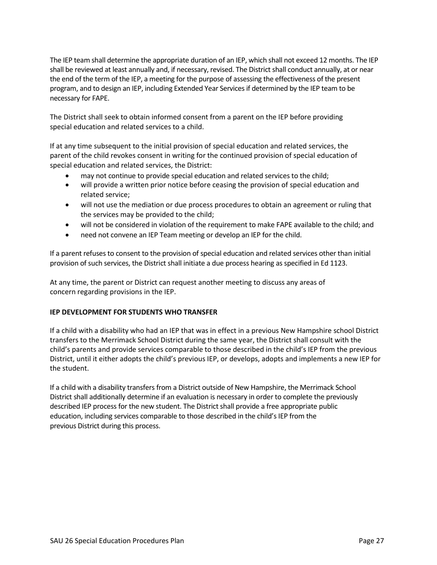The IEP team shall determine the appropriate duration of an IEP, which shall not exceed 12 months. The IEP shall be reviewed at least annually and, if necessary, revised. The District shall conduct annually, at or near the end of the term of the IEP, a meeting for the purpose of assessing the effectiveness of the present program, and to design an IEP, including Extended Year Services if determined by the IEP team to be necessary for FAPE.

The District shall seek to obtain informed consent from a parent on the IEP before providing special education and related services to a child.

If at any time subsequent to the initial provision of special education and related services, the parent of the child revokes consent in writing for the continued provision of special education of special education and related services, the District:

- may not continue to provide special education and related services to the child;
- will provide a written prior notice before ceasing the provision of special education and related service;
- will not use the mediation or due process procedures to obtain an agreement or ruling that the services may be provided to the child;
- will not be considered in violation of the requirement to make FAPE available to the child; and
- need not convene an IEP Team meeting or develop an IEP for the child.

If a parent refuses to consent to the provision of special education and related services other than initial provision of such services, the District shall initiate a due process hearing as specified in Ed 1123.

At any time, the parent or District can request another meeting to discuss any areas of concern regarding provisions in the IEP.

#### **IEP DEVELOPMENT FOR STUDENTS WHO TRANSFER**

If a child with a disability who had an IEP that was in effect in a previous New Hampshire school District transfers to the Merrimack School District during the same year, the District shall consult with the child's parents and provide services comparable to those described in the child's IEP from the previous District, until it either adopts the child's previous IEP, or develops, adopts and implements a new IEP for the student.

If a child with a disability transfers from a District outside of New Hampshire, the Merrimack School District shall additionally determine if an evaluation is necessary in order to complete the previously described IEP process for the new student. The District shall provide a free appropriate public education, including services comparable to those described in the child's IEP from the previous District during this process.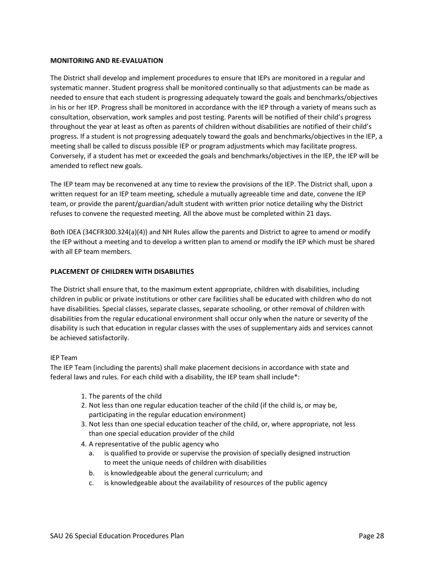#### **MONITORING AND RE-EVALUATION**

The District shall develop and implement procedures to ensure that IEPs are monitored in a regular and systematic manner. Student progress shall be monitored continually so that adjustments can be made as needed to ensure that each student is progressing adequately toward the goals and benchmarks/objectives in his or her IEP. Progress shall be monitored in accordance with the IEP through a variety of means such as consultation, observation, work samples and post testing. Parents will be notified of their child's progress throughout the year at least as often as parents of children without disabilities are notified of their child's progress. If a student is not progressing adequately toward the goals and benchmarks/objectives in the IEP, a meeting shall be called to discuss possible IEP or program adjustments which may facilitate progress. Conversely, if a student has met or exceeded the goals and benchmarks/objectives in the IEP, the IEP will be amended to reflect new goals.

The IEP team may be reconvened at any time to review the provisions of the IEP. The District shall, upon a written request for an IEP team meeting, schedule a mutually agreeable time and date, convene the IEP team, or provide the parent/guardian/adult student with written prior notice detailing why the District refuses to convene the requested meeting. All the above must be completed within 21 days.

Both IDEA (34CFR300.324(a)(4)) and NH Rules allow the parents and District to agree to amend or modify the IEP without a meeting and to develop a written plan to amend or modify the IEP which must be shared with all EP team members.

#### **PLACEMENT OF CHILDREN WITH DISABILITIES**

The District shall ensure that, to the maximum extent appropriate, children with disabilities, including children in public or private institutions or other care facilities shall be educated with children who do not have disabilities. Special classes, separate classes, separate schooling, or other removal of children with disabilities from the regular educational environment shall occur only when the nature or severity of the disability is such that education in regular classes with the uses of supplementary aids and services cannot be achieved satisfactorily.

#### IEP Team

The IEP Team (including the parents) shall make placement decisions in accordance with state and federal laws and rules. For each child with a disability, the IEP team shall include\*:

- 1. The parents of the child
- 2. Not less than one regular education teacher of the child (if the child is, or may be, participating in the regular education environment)
- 3. Not less than one special education teacher of the child, or, where appropriate, not less than one special education provider of the child
- 4. A representative of the public agency who
	- a. is qualified to provide or supervise the provision of specially designed instruction to meet the unique needs of children with disabilities
	- b. is knowledgeable about the general curriculum; and
	- c. is knowledgeable about the availability of resources of the public agency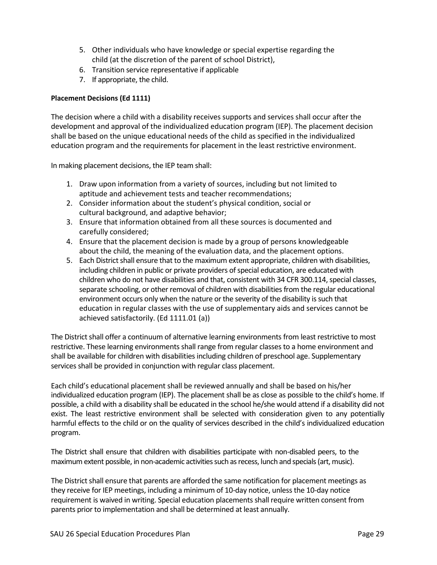- 5. Other individuals who have knowledge or special expertise regarding the child (at the discretion of the parent of school District),
- 6. Transition service representative if applicable
- 7. If appropriate, the child.

#### **Placement Decisions (Ed 1111)**

The decision where a child with a disability receives supports and services shall occur after the development and approval of the individualized education program (IEP). The placement decision shall be based on the unique educational needs of the child as specified in the individualized education program and the requirements for placement in the least restrictive environment.

In making placement decisions, the IEP team shall:

- 1. Draw upon information from a variety of sources, including but not limited to aptitude and achievement tests and teacher recommendations;
- 2. Consider information about the student's physical condition, social or cultural background, and adaptive behavior;
- 3. Ensure that information obtained from all these sources is documented and carefully considered;
- 4. Ensure that the placement decision is made by a group of persons knowledgeable about the child, the meaning of the evaluation data, and the placement options.
- 5. Each District shall ensure that to the maximum extent appropriate, children with disabilities, including children in public or private providers of special education, are educated with children who do not have disabilities and that, consistent with 34 CFR 300.114, special classes, separate schooling, or other removal of children with disabilities from the regular educational environment occurs only when the nature or the severity of the disability is such that education in regular classes with the use of supplementary aids and services cannot be achieved satisfactorily. (Ed 1111.01 (a))

The District shall offer a continuum of alternative learning environments from least restrictive to most restrictive. These learning environments shall range from regular classes to a home environment and shall be available for children with disabilities including children of preschool age. Supplementary services shall be provided in conjunction with regular class placement.

Each child's educational placement shall be reviewed annually and shall be based on his/her individualized education program (IEP). The placement shall be as close as possible to the child's home. If possible, a child with a disability shall be educated in the school he/she would attend if a disability did not exist. The least restrictive environment shall be selected with consideration given to any potentially harmful effects to the child or on the quality of services described in the child's individualized education program.

The District shall ensure that children with disabilities participate with non-disabled peers, to the maximum extent possible, in non-academic activities such as recess, lunch and specials (art, music).

The District shall ensure that parents are afforded the same notification for placement meetings as they receive for IEP meetings, including a minimum of 10-day notice, unless the 10-day notice requirement is waived in writing. Special education placements shall require written consent from parents prior to implementation and shall be determined at least annually.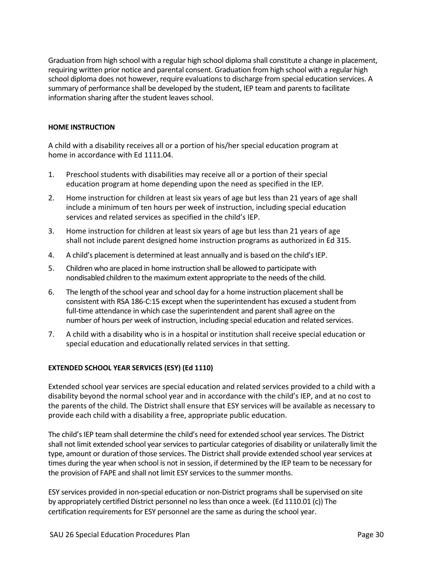Graduation from high school with a regular high school diploma shall constitute a change in placement, requiring written prior notice and parental consent. Graduation from high school with a regular high school diploma does not however, require evaluations to discharge from special education services. A summary of performance shall be developed by the student, IEP team and parents to facilitate information sharing after the student leaves school.

#### **HOME INSTRUCTION**

A child with a disability receives all or a portion of his/her special education program at home in accordance with Ed 1111.04.

- 1. Preschool students with disabilities may receive all or a portion of their special education program at home depending upon the need as specified in the IEP.
- 2. Home instruction for children at least six years of age but less than 21 years of age shall include a minimum of ten hours per week of instruction, including special education services and related services as specified in the child's IEP.
- 3. Home instruction for children at least six years of age but less than 21 years of age shall not include parent designed home instruction programs as authorized in Ed 315.
- 4. A child's placement is determined at least annually and is based on the child's IEP.
- 5. Children who are placed in home instruction shall be allowed to participate with nondisabled children to the maximum extent appropriate to the needs of the child.
- 6. The length of the school year and school day for a home instruction placement shall be consistent with RSA 186-C:15 except when the superintendent has excused a student from full-time attendance in which case the superintendent and parent shall agree on the number of hours per week of instruction, including special education and related services.
- 7. A child with a disability who is in a hospital or institution shall receive special education or special education and educationally related services in that setting.

#### **EXTENDED SCHOOL YEAR SERVICES (ESY) (Ed 1110)**

Extended school year services are special education and related services provided to a child with a disability beyond the normal school year and in accordance with the child's IEP, and at no cost to the parents of the child. The District shall ensure that ESY services will be available as necessary to provide each child with a disability a free, appropriate public education.

The child's IEP team shall determine the child's need for extended school year services. The District shall not limit extended school year services to particular categories of disability or unilaterally limit the type, amount or duration of those services. The District shall provide extended school year services at times during the year when school is not in session, if determined by the IEP team to be necessary for the provision of FAPE and shall not limit ESY services to the summer months.

ESY services provided in non-special education or non-District programs shall be supervised on site by appropriately certified District personnel no less than once a week. (Ed 1110.01 (c)) The certification requirements for ESY personnel are the same as during the school year.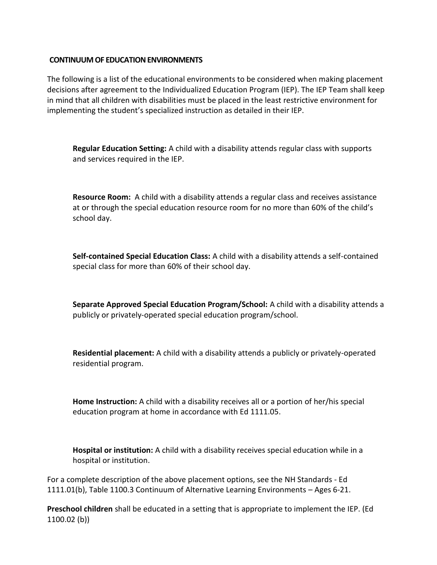#### **CONTINUUM OF EDUCATION ENVIRONMENTS**

The following is a list of the educational environments to be considered when making placement decisions after agreement to the Individualized Education Program (IEP). The IEP Team shall keep in mind that all children with disabilities must be placed in the least restrictive environment for implementing the student's specialized instruction as detailed in their IEP.

**Regular Education Setting:** A child with a disability attends regular class with supports and services required in the IEP.

**Resource Room:** A child with a disability attends a regular class and receives assistance at or through the special education resource room for no more than 60% of the child's school day.

**Self-contained Special Education Class:** A child with a disability attends a self-contained special class for more than 60% of their school day.

**Separate Approved Special Education Program/School:** A child with a disability attends a publicly or privately-operated special education program/school.

**Residential placement:** A child with a disability attends a publicly or privately-operated residential program.

**Home Instruction:** A child with a disability receives all or a portion of her/his special education program at home in accordance with Ed 1111.05.

**Hospital or institution:** A child with a disability receives special education while in a hospital or institution.

For a complete description of the above placement options, see the NH Standards - Ed 1111.01(b), Table 1100.3 Continuum of Alternative Learning Environments – Ages 6-21.

**Preschool children** shall be educated in a setting that is appropriate to implement the IEP. (Ed 1100.02 (b))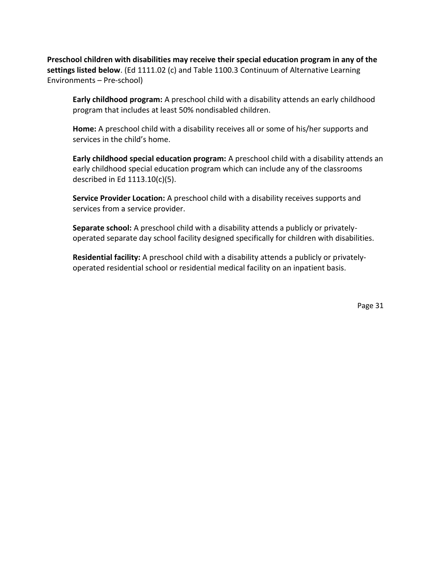**Preschool children with disabilities may receive their special education program in any of the settings listed below**. (Ed 1111.02 (c) and Table 1100.3 Continuum of Alternative Learning Environments – Pre-school)

**Early childhood program:** A preschool child with a disability attends an early childhood program that includes at least 50% nondisabled children.

**Home:** A preschool child with a disability receives all or some of his/her supports and services in the child's home.

**Early childhood special education program:** A preschool child with a disability attends an early childhood special education program which can include any of the classrooms described in Ed 1113.10(c)(5).

**Service Provider Location:** A preschool child with a disability receives supports and services from a service provider.

**Separate school:** A preschool child with a disability attends a publicly or privatelyoperated separate day school facility designed specifically for children with disabilities.

**Residential facility:** A preschool child with a disability attends a publicly or privatelyoperated residential school or residential medical facility on an inpatient basis.

Page 31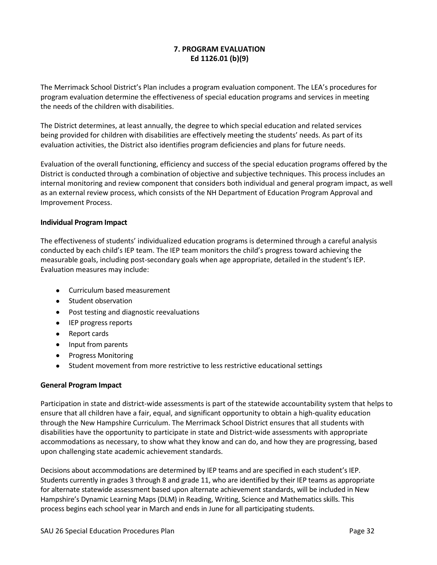#### **7. PROGRAM EVALUATION Ed 1126.01 (b)(9)**

The Merrimack School District's Plan includes a program evaluation component. The LEA's procedures for program evaluation determine the effectiveness of special education programs and services in meeting the needs of the children with disabilities.

The District determines, at least annually, the degree to which special education and related services being provided for children with disabilities are effectively meeting the students' needs. As part of its evaluation activities, the District also identifies program deficiencies and plans for future needs.

Evaluation of the overall functioning, efficiency and success of the special education programs offered by the District is conducted through a combination of objective and subjective techniques. This process includes an internal monitoring and review component that considers both individual and general program impact, as well as an external review process, which consists of the NH Department of Education Program Approval and Improvement Process.

#### **Individual Program Impact**

The effectiveness of students' individualized education programs is determined through a careful analysis conducted by each child's IEP team. The IEP team monitors the child's progress toward achieving the measurable goals, including post-secondary goals when age appropriate, detailed in the student's IEP. Evaluation measures may include:

- Curriculum based measurement
- Student observation
- Post testing and diagnostic reevaluations
- IEP progress reports
- Report cards
- Input from parents
- Progress Monitoring
- Student movement from more restrictive to less restrictive educational settings

#### **General Program Impact**

Participation in state and district-wide assessments is part of the statewide accountability system that helps to ensure that all children have a fair, equal, and significant opportunity to obtain a high-quality education through the New Hampshire Curriculum. The Merrimack School District ensures that all students with disabilities have the opportunity to participate in state and District-wide assessments with appropriate accommodations as necessary, to show what they know and can do, and how they are progressing, based upon challenging state academic achievement standards.

Decisions about accommodations are determined by IEP teams and are specified in each student's IEP. Students currently in grades 3 through 8 and grade 11, who are identified by their IEP teams as appropriate for alternate statewide assessment based upon alternate achievement standards, will be included in New Hampshire's Dynamic Learning Maps (DLM) in Reading, Writing, Science and Mathematics skills. This process begins each school year in March and ends in June for all participating students.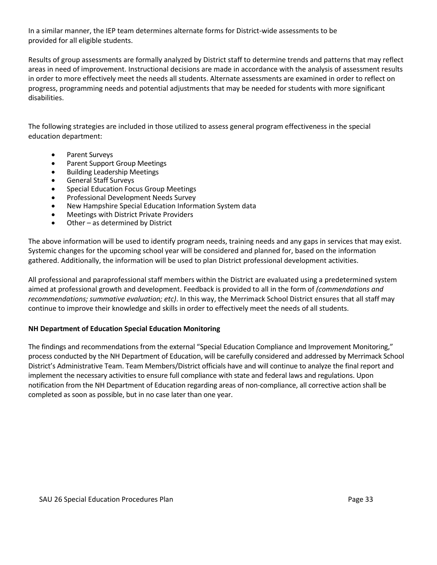In a similar manner, the IEP team determines alternate forms for District-wide assessments to be provided for all eligible students.

Results of group assessments are formally analyzed by District staff to determine trends and patterns that may reflect areas in need of improvement. Instructional decisions are made in accordance with the analysis of assessment results in order to more effectively meet the needs all students. Alternate assessments are examined in order to reflect on progress, programming needs and potential adjustments that may be needed for students with more significant disabilities.

The following strategies are included in those utilized to assess general program effectiveness in the special education department:

- Parent Surveys
- Parent Support Group Meetings
- Building Leadership Meetings
- General Staff Surveys
- Special Education Focus Group Meetings
- Professional Development Needs Survey
- New Hampshire Special Education Information System data
- Meetings with District Private Providers
- Other as determined by District

The above information will be used to identify program needs, training needs and any gaps in services that may exist. Systemic changes for the upcoming school year will be considered and planned for, based on the information gathered. Additionally, the information will be used to plan District professional development activities.

All professional and paraprofessional staff members within the District are evaluated using a predetermined system aimed at professional growth and development. Feedback is provided to all in the form of *(commendations and recommendations; summative evaluation; etc)*. In this way, the Merrimack School District ensures that all staff may continue to improve their knowledge and skills in order to effectively meet the needs of all students.

#### **NH Department of Education Special Education Monitoring**

The findings and recommendations from the external "Special Education Compliance and Improvement Monitoring," process conducted by the NH Department of Education, will be carefully considered and addressed by Merrimack School District's Administrative Team. Team Members/District officials have and will continue to analyze the final report and implement the necessary activities to ensure full compliance with state and federal laws and regulations. Upon notification from the NH Department of Education regarding areas of non-compliance, all corrective action shall be completed as soon as possible, but in no case later than one year.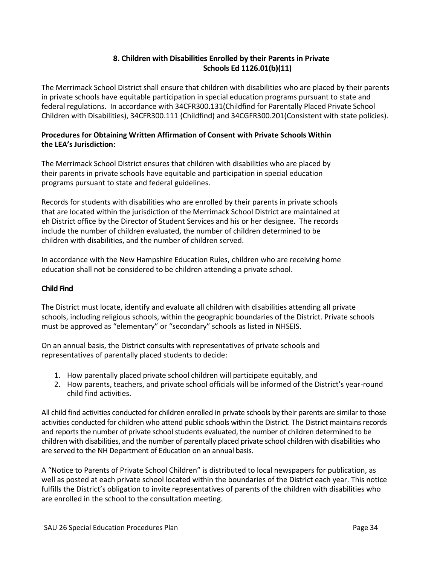#### **8. Children with Disabilities Enrolled by their Parents in Private Schools Ed 1126.01(b)(11)**

The Merrimack School District shall ensure that children with disabilities who are placed by their parents in private schools have equitable participation in special education programs pursuant to state and federal regulations. In accordance with 34CFR300.131(Childfind for Parentally Placed Private School Children with Disabilities), 34CFR300.111 (Childfind) and 34CGFR300.201(Consistent with state policies).

#### **Procedures for Obtaining Written Affirmation of Consent with Private Schools Within the LEA's Jurisdiction:**

The Merrimack School District ensures that children with disabilities who are placed by their parents in private schools have equitable and participation in special education programs pursuant to state and federal guidelines.

Records for students with disabilities who are enrolled by their parents in private schools that are located within the jurisdiction of the Merrimack School District are maintained at eh District office by the Director of Student Services and his or her designee. The records include the number of children evaluated, the number of children determined to be children with disabilities, and the number of children served.

In accordance with the New Hampshire Education Rules, children who are receiving home education shall not be considered to be children attending a private school.

#### **Child Find**

The District must locate, identify and evaluate all children with disabilities attending all private schools, including religious schools, within the geographic boundaries of the District. Private schools must be approved as "elementary" or "secondary" schools as listed in NHSEIS.

On an annual basis, the District consults with representatives of private schools and representatives of parentally placed students to decide:

- 1. How parentally placed private school children will participate equitably, and
- 2. How parents, teachers, and private school officials will be informed of the District's year-round child find activities.

All child find activities conducted for children enrolled in private schools by their parents are similar to those activities conducted for children who attend public schools within the District. The District maintains records and reports the number of private school students evaluated, the number of children determined to be children with disabilities, and the number of parentally placed private school children with disabilities who are served to the NH Department of Education on an annual basis.

A "Notice to Parents of Private School Children" is distributed to local newspapers for publication, as well as posted at each private school located within the boundaries of the District each year. This notice fulfills the District's obligation to invite representatives of parents of the children with disabilities who are enrolled in the school to the consultation meeting.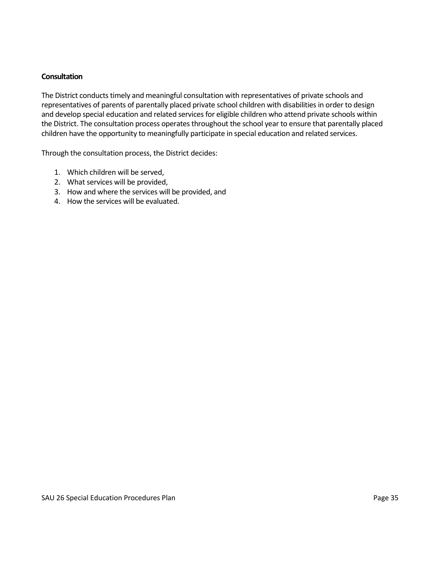#### **Consultation**

The District conducts timely and meaningful consultation with representatives of private schools and representatives of parents of parentally placed private school children with disabilities in order to design and develop special education and related services for eligible children who attend private schools within the District. The consultation process operates throughout the school year to ensure that parentally placed children have the opportunity to meaningfully participate in special education and related services.

Through the consultation process, the District decides:

- 1. Which children will be served,
- 2. What services will be provided,
- 3. How and where the services will be provided, and
- 4. How the services will be evaluated.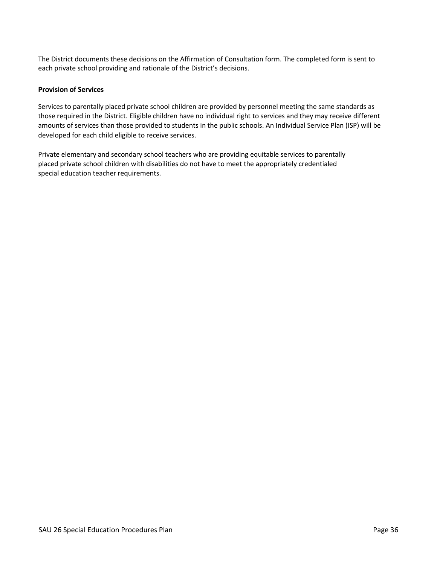The District documents these decisions on the Affirmation of Consultation form. The completed form is sent to each private school providing and rationale of the District's decisions.

#### **Provision of Services**

Services to parentally placed private school children are provided by personnel meeting the same standards as those required in the District. Eligible children have no individual right to services and they may receive different amounts of services than those provided to students in the public schools. An Individual Service Plan (ISP) will be developed for each child eligible to receive services.

Private elementary and secondary school teachers who are providing equitable services to parentally placed private school children with disabilities do not have to meet the appropriately credentialed special education teacher requirements.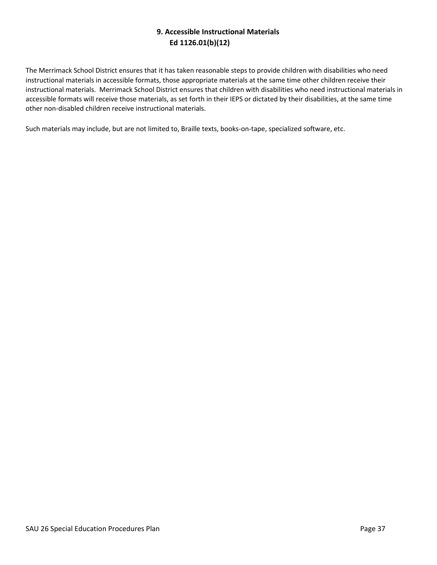## **9. Accessible Instructional Materials Ed 1126.01(b)(12)**

The Merrimack School District ensures that it has taken reasonable steps to provide children with disabilities who need instructional materials in accessible formats, those appropriate materials at the same time other children receive their instructional materials. Merrimack School District ensures that children with disabilities who need instructional materials in accessible formats will receive those materials, as set forth in their IEPS or dictated by their disabilities, at the same time other non-disabled children receive instructional materials.

Such materials may include, but are not limited to, Braille texts, books-on-tape, specialized software, etc.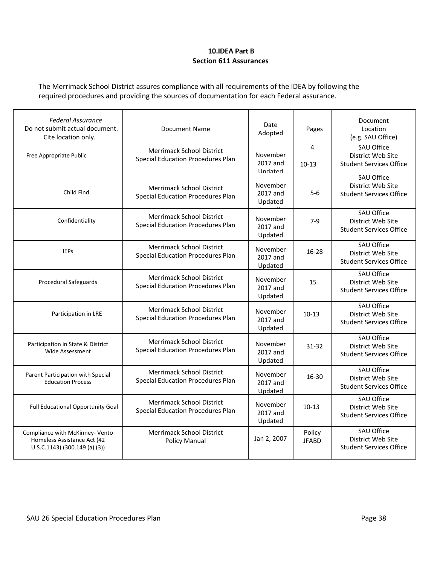#### **10.IDEA Part B Section 611 Assurances**

The Merrimack School District assures compliance with all requirements of the IDEA by following the required procedures and providing the sources of documentation for each Federal assurance.

| <b>Federal Assurance</b><br>Do not submit actual document.<br>Cite location only.                 | Document Name                                                                | Date<br>Adopted                        | Pages                  | Document<br>Location<br>(e.g. SAU Office)                                |
|---------------------------------------------------------------------------------------------------|------------------------------------------------------------------------------|----------------------------------------|------------------------|--------------------------------------------------------------------------|
| Free Appropriate Public                                                                           | Merrimack School District<br>Special Education Procedures Plan               | November<br>2017 and<br><b>Undated</b> | 4<br>$10-13$           | SAU Office<br>District Web Site<br><b>Student Services Office</b>        |
| Child Find                                                                                        | <b>Merrimack School District</b><br><b>Special Education Procedures Plan</b> | November<br>2017 and<br>Updated        | $5-6$                  | <b>SAU Office</b><br>District Web Site<br><b>Student Services Office</b> |
| Confidentiality                                                                                   | <b>Merrimack School District</b><br><b>Special Education Procedures Plan</b> | November<br>2017 and<br>Updated        | $7-9$                  | SAU Office<br>District Web Site<br><b>Student Services Office</b>        |
| <b>IEPs</b>                                                                                       | <b>Merrimack School District</b><br><b>Special Education Procedures Plan</b> | November<br>2017 and<br>Updated        | 16-28                  | SAU Office<br>District Web Site<br><b>Student Services Office</b>        |
| <b>Procedural Safeguards</b>                                                                      | <b>Merrimack School District</b><br>Special Education Procedures Plan        | November<br>2017 and<br>Updated        | 15                     | <b>SAU Office</b><br>District Web Site<br><b>Student Services Office</b> |
| Participation in LRE                                                                              | <b>Merrimack School District</b><br><b>Special Education Procedures Plan</b> | November<br>2017 and<br>Updated        | $10-13$                | SAU Office<br>District Web Site<br><b>Student Services Office</b>        |
| Participation in State & District<br>Wide Assessment                                              | Merrimack School District<br><b>Special Education Procedures Plan</b>        | November<br>2017 and<br>Updated        | $31 - 32$              | SAU Office<br>District Web Site<br><b>Student Services Office</b>        |
| Parent Participation with Special<br><b>Education Process</b>                                     | <b>Merrimack School District</b><br><b>Special Education Procedures Plan</b> | November<br>2017 and<br>Updated        | 16-30                  | SAU Office<br>District Web Site<br><b>Student Services Office</b>        |
| Full Educational Opportunity Goal                                                                 | <b>Merrimack School District</b><br><b>Special Education Procedures Plan</b> | November<br>2017 and<br>Updated        | $10 - 13$              | <b>SAU Office</b><br>District Web Site<br><b>Student Services Office</b> |
| Compliance with McKinney- Vento<br>Homeless Assistance Act (42<br>$U.S.C.1143)$ (300.149 (a) (3)) | <b>Merrimack School District</b><br><b>Policy Manual</b>                     | Jan 2, 2007                            | Policy<br><b>JFABD</b> | SAU Office<br>District Web Site<br><b>Student Services Office</b>        |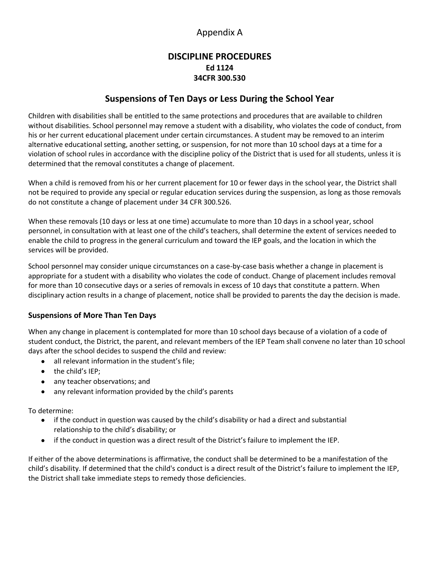## Appendix A

## **DISCIPLINE PROCEDURES Ed 1124 34CFR 300.530**

## **Suspensions of Ten Days or Less During the School Year**

Children with disabilities shall be entitled to the same protections and procedures that are available to children without disabilities. School personnel may remove a student with a disability, who violates the code of conduct, from his or her current educational placement under certain circumstances. A student may be removed to an interim alternative educational setting, another setting, or suspension, for not more than 10 school days at a time for a violation of school rules in accordance with the discipline policy of the District that is used for all students, unless it is determined that the removal constitutes a change of placement.

When a child is removed from his or her current placement for 10 or fewer days in the school year, the District shall not be required to provide any special or regular education services during the suspension, as long as those removals do not constitute a change of placement under 34 CFR 300.526.

When these removals (10 days or less at one time) accumulate to more than 10 days in a school year, school personnel, in consultation with at least one of the child's teachers, shall determine the extent of services needed to enable the child to progress in the general curriculum and toward the IEP goals, and the location in which the services will be provided.

School personnel may consider unique circumstances on a case-by-case basis whether a change in placement is appropriate for a student with a disability who violates the code of conduct. Change of placement includes removal for more than 10 consecutive days or a series of removals in excess of 10 days that constitute a pattern. When disciplinary action results in a change of placement, notice shall be provided to parents the day the decision is made.

#### **Suspensions of More Than Ten Days**

When any change in placement is contemplated for more than 10 school days because of a violation of a code of student conduct, the District, the parent, and relevant members of the IEP Team shall convene no later than 10 school days after the school decides to suspend the child and review:

- all relevant information in the student's file;
- the child's IEP;
- any teacher observations; and
- any relevant information provided by the child's parents

To determine:

- if the conduct in question was caused by the child's disability or had a direct and substantial relationship to the child's disability; or
- if the conduct in question was a direct result of the District's failure to implement the IEP.

If either of the above determinations is affirmative, the conduct shall be determined to be a manifestation of the child's disability. If determined that the child's conduct is a direct result of the District's failure to implement the IEP, the District shall take immediate steps to remedy those deficiencies.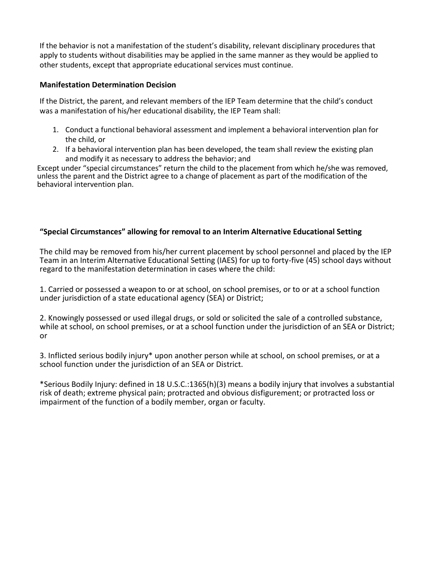If the behavior is not a manifestation of the student's disability, relevant disciplinary procedures that apply to students without disabilities may be applied in the same manner as they would be applied to other students, except that appropriate educational services must continue.

#### **Manifestation Determination Decision**

If the District, the parent, and relevant members of the IEP Team determine that the child's conduct was a manifestation of his/her educational disability, the IEP Team shall:

- 1. Conduct a functional behavioral assessment and implement a behavioral intervention plan for the child, or
- 2. If a behavioral intervention plan has been developed, the team shall review the existing plan and modify it as necessary to address the behavior; and

Except under "special circumstances" return the child to the placement from which he/she was removed, unless the parent and the District agree to a change of placement as part of the modification of the behavioral intervention plan.

#### **"Special Circumstances" allowing for removal to an Interim Alternative Educational Setting**

The child may be removed from his/her current placement by school personnel and placed by the IEP Team in an Interim Alternative Educational Setting (IAES) for up to forty-five (45) school days without regard to the manifestation determination in cases where the child:

1. Carried or possessed a weapon to or at school, on school premises, or to or at a school function under jurisdiction of a state educational agency (SEA) or District;

2. Knowingly possessed or used illegal drugs, or sold or solicited the sale of a controlled substance, while at school, on school premises, or at a school function under the jurisdiction of an SEA or District; or

3. Inflicted serious bodily injury\* upon another person while at school, on school premises, or at a school function under the jurisdiction of an SEA or District.

\*Serious Bodily Injury: defined in 18 U.S.C.:1365(h)(3) means a bodily injury that involves a substantial risk of death; extreme physical pain; protracted and obvious disfigurement; or protracted loss or impairment of the function of a bodily member, organ or faculty.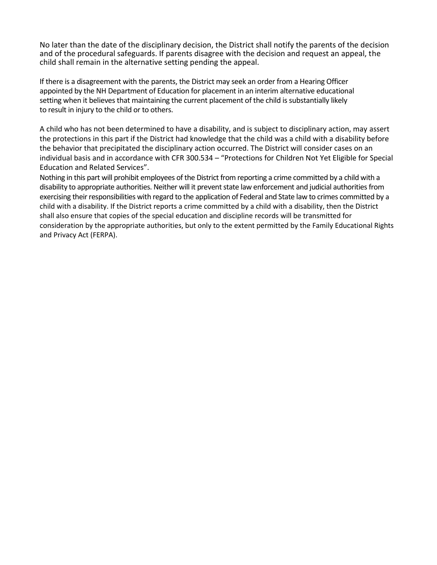No later than the date of the disciplinary decision, the District shall notify the parents of the decision and of the procedural safeguards. If parents disagree with the decision and request an appeal, the child shall remain in the alternative setting pending the appeal.

If there is a disagreement with the parents, the District may seek an order from a Hearing Officer appointed by the NH Department of Education for placement in an interim alternative educational setting when it believes that maintaining the current placement of the child is substantially likely to result in injury to the child or to others.

A child who has not been determined to have a disability, and is subject to disciplinary action, may assert the protections in this part if the District had knowledge that the child was a child with a disability before the behavior that precipitated the disciplinary action occurred. The District will consider cases on an individual basis and in accordance with CFR 300.534 – "Protections for Children Not Yet Eligible for Special Education and Related Services".

Nothing in this part will prohibit employees of the District from reporting a crime committed by a child with a disability to appropriate authorities. Neither will it prevent state law enforcement and judicial authorities from exercising their responsibilities with regard to the application of Federal and State law to crimes committed by a child with a disability. If the District reports a crime committed by a child with a disability, then the District shall also ensure that copies of the special education and discipline records will be transmitted for consideration by the appropriate authorities, but only to the extent permitted by the Family Educational Rights and Privacy Act (FERPA).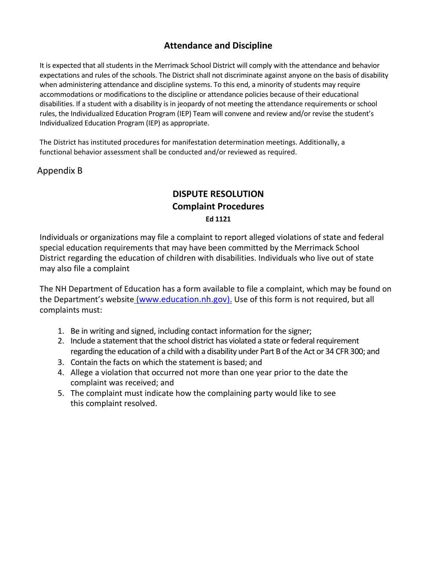## **Attendance and Discipline**

It is expected that all students in the Merrimack School District will comply with the attendance and behavior expectations and rules of the schools. The District shall not discriminate against anyone on the basis of disability when administering attendance and discipline systems. To this end, a minority of students may require accommodations or modifications to the discipline or attendance policies because of their educational disabilities. If a student with a disability is in jeopardy of not meeting the attendance requirements or school rules, the Individualized Education Program (IEP) Team will convene and review and/or revise the student's Individualized Education Program (IEP) as appropriate.

The District has instituted procedures for manifestation determination meetings. Additionally, a functional behavior assessment shall be conducted and/or reviewed as required.

Appendix B

## **DISPUTE RESOLUTION Complaint Procedures Ed 1121**

Individuals or organizations may file a complaint to report alleged violations of state and federal special education requirements that may have been committed by the Merrimack School District regarding the education of children with disabilities. Individuals who live out of state may also file a complaint

The NH Department of Education has a form available to file a complaint, which may be found on the Department's website [\(www.education.nh.gov\)](http://www.education.nh.gov/). Use of this form is not required, but all complaints must:

- 1. Be in writing and signed, including contact information for the signer;
- 2. Include a statement that the school district has violated a state or federal requirement regarding the education of a child with a disability under Part B of the Act or 34 CFR 300; and
- 3. Contain the facts on which the statement is based; and
- 4. Allege a violation that occurred not more than one year prior to the date the complaint was received; and
- 5. The complaint must indicate how the complaining party would like to see this complaint resolved.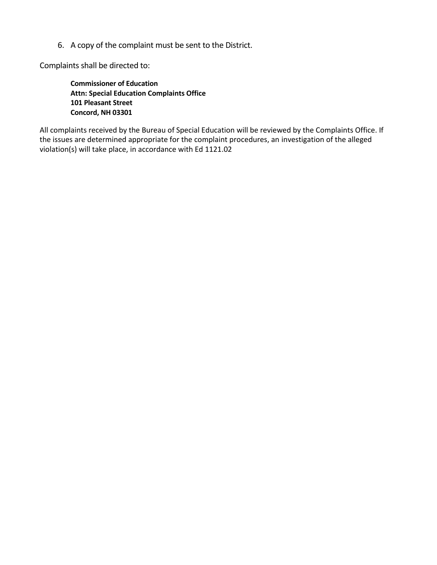6. A copy of the complaint must be sent to the District.

Complaints shall be directed to:

**Commissioner of Education Attn: Special Education Complaints Office 101 Pleasant Street Concord, NH 03301**

All complaints received by the Bureau of Special Education will be reviewed by the Complaints Office. If the issues are determined appropriate for the complaint procedures, an investigation of the alleged violation(s) will take place, in accordance with Ed 1121.02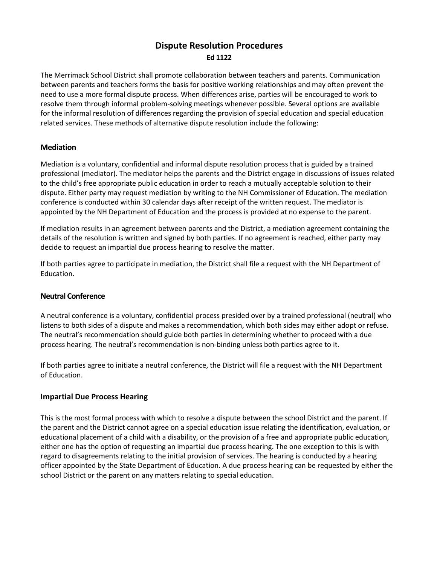## **Dispute Resolution Procedures Ed 1122**

The Merrimack School District shall promote collaboration between teachers and parents. Communication between parents and teachers forms the basis for positive working relationships and may often prevent the need to use a more formal dispute process. When differences arise, parties will be encouraged to work to resolve them through informal problem-solving meetings whenever possible. Several options are available for the informal resolution of differences regarding the provision of special education and special education related services. These methods of alternative dispute resolution include the following:

#### **Mediation**

Mediation is a voluntary, confidential and informal dispute resolution process that is guided by a trained professional (mediator). The mediator helps the parents and the District engage in discussions of issues related to the child's free appropriate public education in order to reach a mutually acceptable solution to their dispute. Either party may request mediation by writing to the NH Commissioner of Education. The mediation conference is conducted within 30 calendar days after receipt of the written request. The mediator is appointed by the NH Department of Education and the process is provided at no expense to the parent.

If mediation results in an agreement between parents and the District, a mediation agreement containing the details of the resolution is written and signed by both parties. If no agreement is reached, either party may decide to request an impartial due process hearing to resolve the matter.

If both parties agree to participate in mediation, the District shall file a request with the NH Department of Education.

#### **Neutral Conference**

A neutral conference is a voluntary, confidential process presided over by a trained professional (neutral) who listens to both sides of a dispute and makes a recommendation, which both sides may either adopt or refuse. The neutral's recommendation should guide both parties in determining whether to proceed with a due process hearing. The neutral's recommendation is non-binding unless both parties agree to it.

If both parties agree to initiate a neutral conference, the District will file a request with the NH Department of Education.

#### **Impartial Due Process Hearing**

This is the most formal process with which to resolve a dispute between the school District and the parent. If the parent and the District cannot agree on a special education issue relating the identification, evaluation, or educational placement of a child with a disability, or the provision of a free and appropriate public education, either one has the option of requesting an impartial due process hearing. The one exception to this is with regard to disagreements relating to the initial provision of services. The hearing is conducted by a hearing officer appointed by the State Department of Education. A due process hearing can be requested by either the school District or the parent on any matters relating to special education.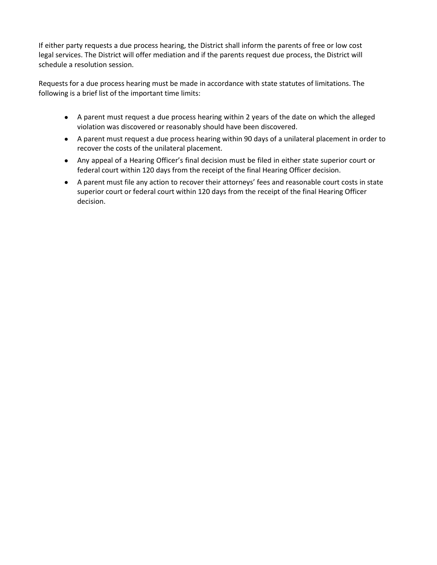If either party requests a due process hearing, the District shall inform the parents of free or low cost legal services. The District will offer mediation and if the parents request due process, the District will schedule a resolution session.

Requests for a due process hearing must be made in accordance with state statutes of limitations. The following is a brief list of the important time limits:

- A parent must request a due process hearing within 2 years of the date on which the alleged violation was discovered or reasonably should have been discovered.
- A parent must request a due process hearing within 90 days of a unilateral placement in order to recover the costs of the unilateral placement.
- Any appeal of a Hearing Officer's final decision must be filed in either state superior court or federal court within 120 days from the receipt of the final Hearing Officer decision.
- A parent must file any action to recover their attorneys' fees and reasonable court costs in state superior court or federal court within 120 days from the receipt of the final Hearing Officer decision.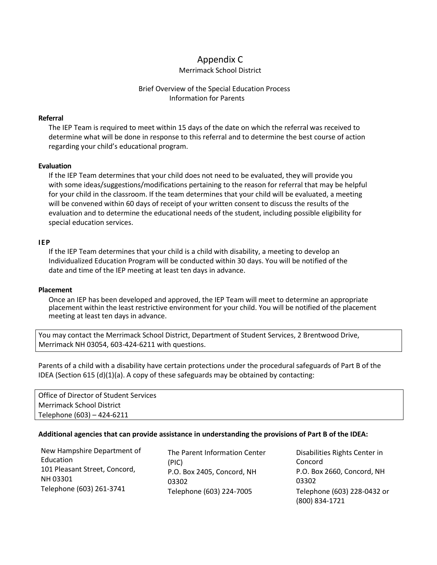## Appendix C

#### Merrimack School District

#### Brief Overview of the Special Education Process Information for Parents

#### **Referral**

The IEP Team is required to meet within 15 days of the date on which the referral was received to determine what will be done in response to this referral and to determine the best course of action regarding your child's educational program.

#### **Evaluation**

If the IEP Team determines that your child does not need to be evaluated, they will provide you with some ideas/suggestions/modifications pertaining to the reason for referral that may be helpful for your child in the classroom. If the team determines that your child will be evaluated, a meeting will be convened within 60 days of receipt of your written consent to discuss the results of the evaluation and to determine the educational needs of the student, including possible eligibility for special education services.

#### **IEP**

If the IEP Team determines that your child is a child with disability, a meeting to develop an Individualized Education Program will be conducted within 30 days. You will be notified of the date and time of the IEP meeting at least ten days in advance.

#### **Placement**

Once an IEP has been developed and approved, the IEP Team will meet to determine an appropriate placement within the least restrictive environment for your child. You will be notified of the placement meeting at least ten days in advance.

You may contact the Merrimack School District, Department of Student Services, 2 Brentwood Drive, Merrimack NH 03054, 603-424-6211 with questions.

Parents of a child with a disability have certain protections under the procedural safeguards of Part B of the IDEA (Section 615 (d)(1)(a). A copy of these safeguards may be obtained by contacting:

Office of Director of Student Services Merrimack School District Telephone (603) – 424-6211

#### **Additional agencies that can provide assistance in understanding the provisions of Part B of the IDEA:**

New Hampshire Department of Education 101 Pleasant Street, Concord, NH 03301 Telephone (603) 261-3741

The Parent Information Center (PIC) P.O. Box 2405, Concord, NH 03302 Telephone (603) 224-7005

Disabilities Rights Center in Concord P.O. Box 2660, Concord, NH 03302 Telephone (603) 228-0432 or (800) 834-1721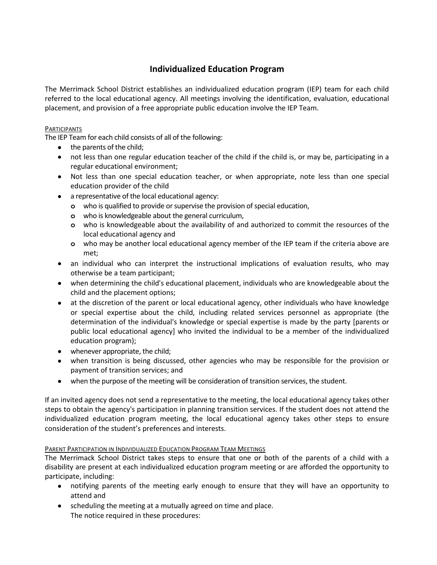## **Individualized Education Program**

The Merrimack School District establishes an individualized education program (IEP) team for each child referred to the local educational agency. All meetings involving the identification, evaluation, educational placement, and provision of a free appropriate public education involve the IEP Team.

#### **PARTICIPANTS**

The IEP Team for each child consists of all of the following:

- the parents of the child;
- not less than one regular education teacher of the child if the child is, or may be, participating in a regular educational environment;
- Not less than one special education teacher, or when appropriate, note less than one special education provider of the child
- a representative of the local educational agency:
	- **o** who is qualified to provide or supervise the provision of special education,
	- **o** who is knowledgeable about the general curriculum,
	- **o** who is knowledgeable about the availability of and authorized to commit the resources of the local educational agency and
	- **o** who may be another local educational agency member of the IEP team if the criteria above are met;
- an individual who can interpret the instructional implications of evaluation results, who may otherwise be a team participant;
- when determining the child's educational placement, individuals who are knowledgeable about the child and the placement options;
- at the discretion of the parent or local educational agency, other individuals who have knowledge or special expertise about the child, including related services personnel as appropriate (the determination of the individual's knowledge or special expertise is made by the party [parents or public local educational agency] who invited the individual to be a member of the individualized education program);
- whenever appropriate, the child;
- when transition is being discussed, other agencies who may be responsible for the provision or payment of transition services; and
- when the purpose of the meeting will be consideration of transition services, the student.

If an invited agency does not send a representative to the meeting, the local educational agency takes other steps to obtain the agency's participation in planning transition services. If the student does not attend the individualized education program meeting, the local educational agency takes other steps to ensure consideration of the student's preferences and interests.

#### PARENT PARTICIPATION IN INDIVIDUALIZED EDUCATION PROGRAM TEAM MEETINGS

The Merrimack School District takes steps to ensure that one or both of the parents of a child with a disability are present at each individualized education program meeting or are afforded the opportunity to participate, including:

- notifying parents of the meeting early enough to ensure that they will have an opportunity to attend and
- scheduling the meeting at a mutually agreed on time and place. The notice required in these procedures: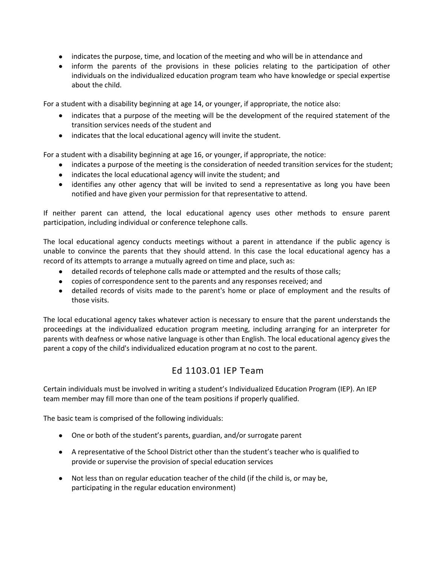- indicates the purpose, time, and location of the meeting and who will be in attendance and
- inform the parents of the provisions in these policies relating to the participation of other individuals on the individualized education program team who have knowledge or special expertise about the child.

For a student with a disability beginning at age 14, or younger, if appropriate, the notice also:

- indicates that a purpose of the meeting will be the development of the required statement of the transition services needs of the student and
- indicates that the local educational agency will invite the student.

For a student with a disability beginning at age 16, or younger, if appropriate, the notice:

- indicates a purpose of the meeting is the consideration of needed transition services for the student;
- indicates the local educational agency will invite the student; and
- identifies any other agency that will be invited to send a representative as long you have been notified and have given your permission for that representative to attend.

If neither parent can attend, the local educational agency uses other methods to ensure parent participation, including individual or conference telephone calls.

The local educational agency conducts meetings without a parent in attendance if the public agency is unable to convince the parents that they should attend. In this case the local educational agency has a record of its attempts to arrange a mutually agreed on time and place, such as:

- detailed records of telephone calls made or attempted and the results of those calls;
- copies of correspondence sent to the parents and any responses received; and
- detailed records of visits made to the parent's home or place of employment and the results of those visits.

The local educational agency takes whatever action is necessary to ensure that the parent understands the proceedings at the individualized education program meeting, including arranging for an interpreter for parents with deafness or whose native language is other than English. The local educational agency gives the parent a copy of the child's individualized education program at no cost to the parent.

## Ed 1103.01 IEP Team

Certain individuals must be involved in writing a student's Individualized Education Program (IEP). An IEP team member may fill more than one of the team positions if properly qualified.

The basic team is comprised of the following individuals:

- One or both of the student's parents, guardian, and/or surrogate parent
- A representative of the School District other than the student's teacher who is qualified to provide or supervise the provision of special education services
- Not less than on regular education teacher of the child (if the child is, or may be, participating in the regular education environment)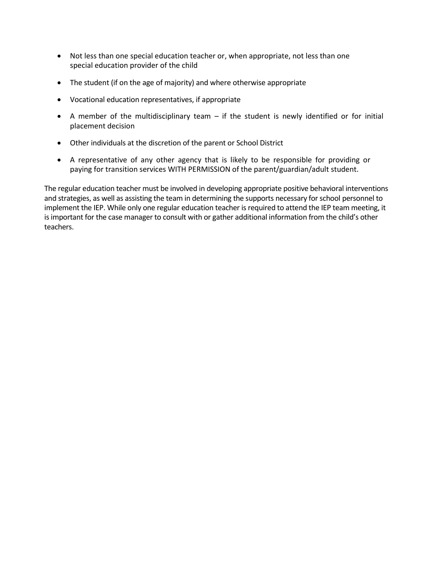- Not less than one special education teacher or, when appropriate, not less than one special education provider of the child
- The student (if on the age of majority) and where otherwise appropriate
- Vocational education representatives, if appropriate
- A member of the multidisciplinary team if the student is newly identified or for initial placement decision
- Other individuals at the discretion of the parent or School District
- A representative of any other agency that is likely to be responsible for providing or paying for transition services WITH PERMISSION of the parent/guardian/adult student.

The regular education teacher must be involved in developing appropriate positive behavioral interventions and strategies, as well as assisting the team in determining the supports necessary for school personnel to implement the IEP. While only one regular education teacher is required to attend the IEP team meeting, it is important for the case manager to consult with or gather additional information from the child's other teachers.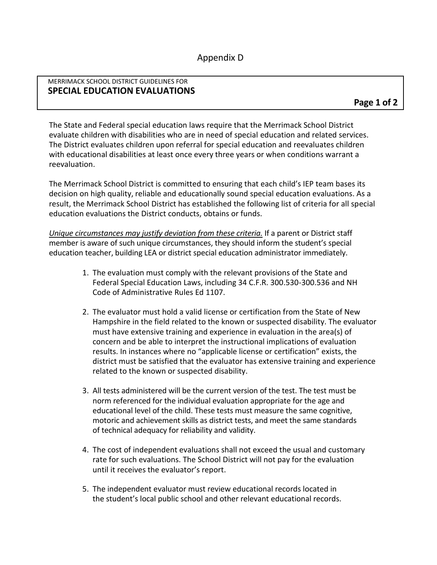#### MERRIMACK SCHOOL DISTRICT GUIDELINES FOR **SPECIAL EDUCATION EVALUATIONS**

The State and Federal special education laws require that the Merrimack School District evaluate children with disabilities who are in need of special education and related services. The District evaluates children upon referral for special education and reevaluates children with educational disabilities at least once every three years or when conditions warrant a reevaluation.

The Merrimack School District is committed to ensuring that each child's IEP team bases its decision on high quality, reliable and educationally sound special education evaluations. As a result, the Merrimack School District has established the following list of criteria for all special education evaluations the District conducts, obtains or funds.

*Unique circumstances may justify deviation from these criteria.* If a parent or District staff member is aware of such unique circumstances, they should inform the student's special education teacher, building LEA or district special education administrator immediately.

- 1. The evaluation must comply with the relevant provisions of the State and Federal Special Education Laws, including 34 C.F.R. 300.530-300.536 and NH Code of Administrative Rules Ed 1107.
- 2. The evaluator must hold a valid license or certification from the State of New Hampshire in the field related to the known or suspected disability. The evaluator must have extensive training and experience in evaluation in the area(s) of concern and be able to interpret the instructional implications of evaluation results. In instances where no "applicable license or certification" exists, the district must be satisfied that the evaluator has extensive training and experience related to the known or suspected disability.
- 3. All tests administered will be the current version of the test. The test must be norm referenced for the individual evaluation appropriate for the age and educational level of the child. These tests must measure the same cognitive, motoric and achievement skills as district tests, and meet the same standards of technical adequacy for reliability and validity.
- 4. The cost of independent evaluations shall not exceed the usual and customary rate for such evaluations. The School District will not pay for the evaluation until it receives the evaluator's report.
- 5. The independent evaluator must review educational records located in the student's local public school and other relevant educational records.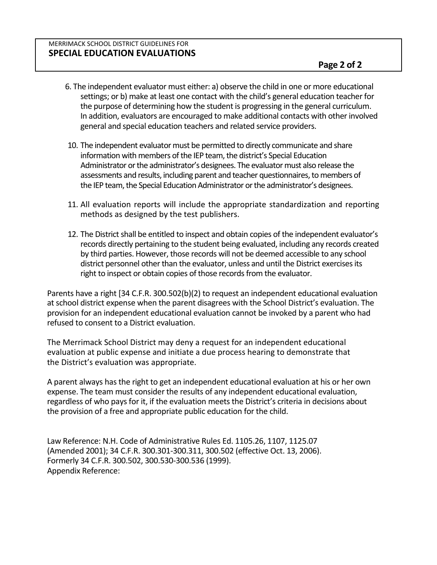## MERRIMACK SCHOOL DISTRICT GUIDELINES FOR **SPECIAL EDUCATION EVALUATIONS**

- 6. The independent evaluator must either: a) observe the child in one or more educational settings; or b) make at least one contact with the child's general education teacher for the purpose of determining how the student is progressing in the general curriculum. In addition, evaluators are encouraged to make additional contacts with other involved general and special education teachers and related service providers.
- 10. The independent evaluator must be permitted to directly communicate and share information with members of the IEP team, the district's Special Education Administrator or the administrator's designees. The evaluator must also release the assessments and results, including parent and teacher questionnaires, to members of the IEP team, the Special Education Administrator or the administrator's designees.
- 11. All evaluation reports will include the appropriate standardization and reporting methods as designed by the test publishers.
- 12. The District shall be entitled to inspect and obtain copies of the independent evaluator's records directly pertaining to the student being evaluated, including any records created by third parties. However, those records will not be deemed accessible to any school district personnel other than the evaluator, unless and until the District exercises its right to inspect or obtain copies of those records from the evaluator.

Parents have a right [34 C.F.R. 300.502(b)(2) to request an independent educational evaluation at school district expense when the parent disagrees with the School District's evaluation. The provision for an independent educational evaluation cannot be invoked by a parent who had refused to consent to a District evaluation.

The Merrimack School District may deny a request for an independent educational evaluation at public expense and initiate a due process hearing to demonstrate that the District's evaluation was appropriate.

A parent always has the right to get an independent educational evaluation at his or her own expense. The team must consider the results of any independent educational evaluation, regardless of who pays for it, if the evaluation meets the District's criteria in decisions about the provision of a free and appropriate public education for the child.

Law Reference: N.H. Code of Administrative Rules Ed. 1105.26, 1107, 1125.07 (Amended 2001); 34 C.F.R. 300.301-300.311, 300.502 (effective Oct. 13, 2006). Formerly 34 C.F.R. 300.502, 300.530-300.536 (1999). Appendix Reference: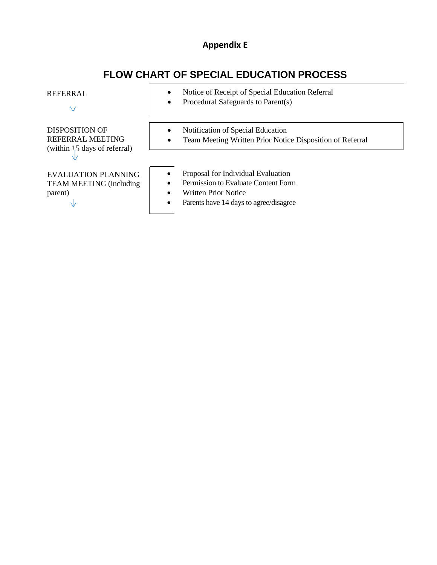## **Appendix E**

## **FLOW CHART OF SPECIAL EDUCATION PROCESS**

| <b>REFERRAL</b>                                                    | Notice of Receipt of Special Education Referral<br>$\bullet$<br>Procedural Safeguards to Parent(s)<br>$\bullet$                                                              |
|--------------------------------------------------------------------|------------------------------------------------------------------------------------------------------------------------------------------------------------------------------|
| DISPOSITION OF<br>REFERRAL MEETING<br>(within 15 days of referral) | Notification of Special Education<br>$\bullet$<br>Team Meeting Written Prior Notice Disposition of Referral<br>$\bullet$                                                     |
| EVALUATION PLANNING<br><b>TEAM MEETING</b> (including<br>parent)   | Proposal for Individual Evaluation<br>Permission to Evaluate Content Form<br><b>Written Prior Notice</b><br>$\bullet$<br>Parents have 14 days to agree/disagree<br>$\bullet$ |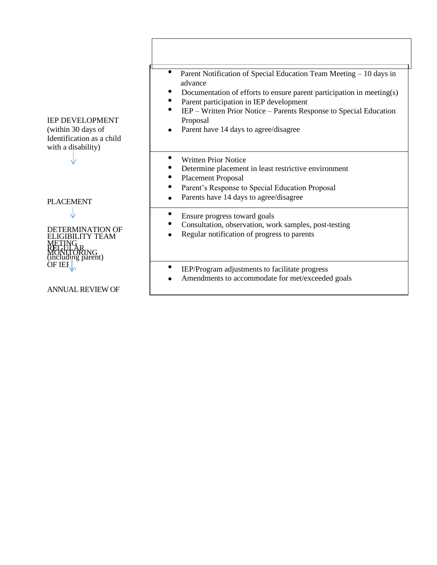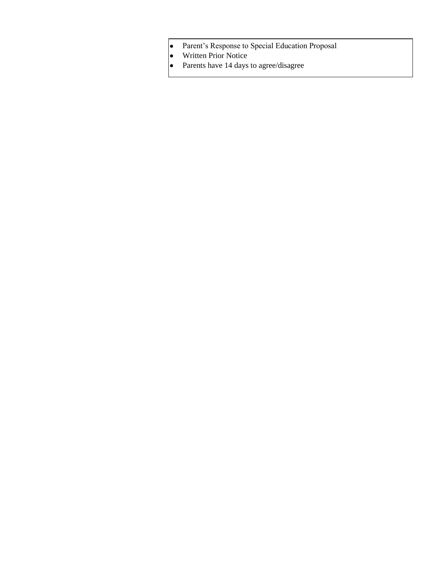- Parent's Response to Special Education Proposal
- Written Prior Notice
- Parents have 14 days to agree/disagree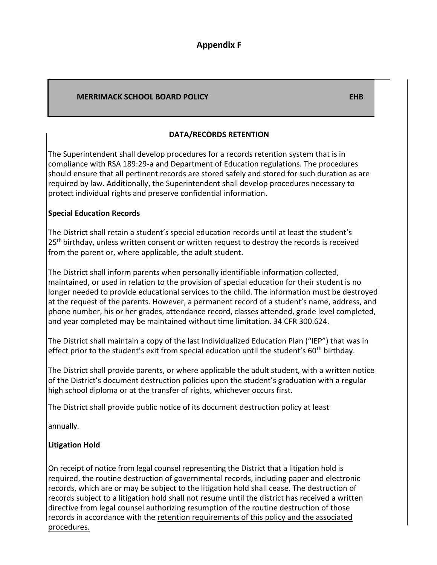## **MERRIMACK SCHOOL BOARD POLICY EHB**

## **DATA/RECORDS RETENTION**

The Superintendent shall develop procedures for a records retention system that is in compliance with RSA 189:29-a and Department of Education regulations. The procedures should ensure that all pertinent records are stored safely and stored for such duration as are required by law. Additionally, the Superintendent shall develop procedures necessary to protect individual rights and preserve confidential information.

#### **Special Education Records**

The District shall retain a student's special education records until at least the student's 25<sup>th</sup> birthday, unless written consent or written request to destroy the records is received from the parent or, where applicable, the adult student.

The District shall inform parents when personally identifiable information collected, maintained, or used in relation to the provision of special education for their student is no longer needed to provide educational services to the child. The information must be destroyed at the request of the parents. However, a permanent record of a student's name, address, and phone number, his or her grades, attendance record, classes attended, grade level completed, and year completed may be maintained without time limitation. 34 CFR 300.624.

The District shall maintain a copy of the last Individualized Education Plan ("IEP") that was in effect prior to the student's exit from special education until the student's 60<sup>th</sup> birthday.

The District shall provide parents, or where applicable the adult student, with a written notice of the District's document destruction policies upon the student's graduation with a regular high school diploma or at the transfer of rights, whichever occurs first.

The District shall provide public notice of its document destruction policy at least

annually.

## **Litigation Hold**

On receipt of notice from legal counsel representing the District that a litigation hold is required, the routine destruction of governmental records, including paper and electronic records, which are or may be subject to the litigation hold shall cease. The destruction of records subject to a litigation hold shall not resume until the district has received a written directive from legal counsel authorizing resumption of the routine destruction of those records in accordance with the retention requirements of this policy and the associated procedures.